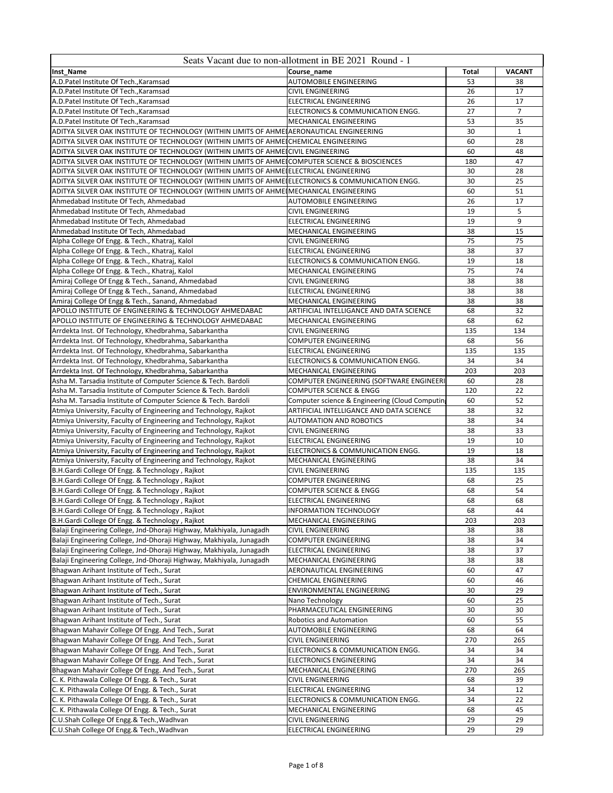|                                                                                                                                    | Seats Vacant due to non-allotment in BE 2021 Round - 1  |              |                |
|------------------------------------------------------------------------------------------------------------------------------------|---------------------------------------------------------|--------------|----------------|
| Inst Name                                                                                                                          | Course name                                             | <b>Total</b> | <b>VACANT</b>  |
| A.D.Patel Institute Of Tech., Karamsad                                                                                             | <b>AUTOMOBILE ENGINEERING</b>                           | 53           | 38             |
| A.D.Patel Institute Of Tech., Karamsad                                                                                             | <b>CIVIL ENGINEERING</b>                                | 26           | 17             |
| A.D.Patel Institute Of Tech., Karamsad                                                                                             | ELECTRICAL ENGINEERING                                  | 26           | 17             |
| A.D.Patel Institute Of Tech., Karamsad                                                                                             | ELECTRONICS & COMMUNICATION ENGG.                       | 27           | $\overline{7}$ |
| A.D.Patel Institute Of Tech., Karamsad                                                                                             | MECHANICAL ENGINEERING                                  | 53           | 35             |
| ADITYA SILVER OAK INSTITUTE OF TECHNOLOGY (WITHIN LIMITS OF AHMEIAERONAUTICAL ENGINEERING                                          |                                                         | 30           | $\mathbf{1}$   |
| ADITYA SILVER OAK INSTITUTE OF TECHNOLOGY (WITHIN LIMITS OF AHMEICHEMICAL ENGINEERING                                              |                                                         | 60           | 28             |
| ADITYA SILVER OAK INSTITUTE OF TECHNOLOGY (WITHIN LIMITS OF AHMEICIVIL ENGINEERING                                                 |                                                         | 60           | 48             |
| ADITYA SILVER OAK INSTITUTE OF TECHNOLOGY (WITHIN LIMITS OF AHMEICOMPUTER SCIENCE & BIOSCIENCES                                    |                                                         | 180          | 47             |
| ADITYA SILVER OAK INSTITUTE OF TECHNOLOGY (WITHIN LIMITS OF AHMEIELECTRICAL ENGINEERING                                            |                                                         | 30           | 28             |
| ADITYA SILVER OAK INSTITUTE OF TECHNOLOGY (WITHIN LIMITS OF AHMEIELECTRONICS & COMMUNICATION ENGG.                                 |                                                         | 30<br>60     | 25<br>51       |
| ADITYA SILVER OAK INSTITUTE OF TECHNOLOGY (WITHIN LIMITS OF AHMEI MECHANICAL ENGINEERING<br>Ahmedabad Institute Of Tech, Ahmedabad | <b>AUTOMOBILE ENGINEERING</b>                           | 26           | 17             |
| Ahmedabad Institute Of Tech, Ahmedabad                                                                                             | <b>CIVIL ENGINEERING</b>                                | 19           | 5              |
| Ahmedabad Institute Of Tech, Ahmedabad                                                                                             | ELECTRICAL ENGINEERING                                  | 19           | 9              |
| Ahmedabad Institute Of Tech, Ahmedabad                                                                                             | MECHANICAL ENGINEERING                                  | 38           | 15             |
| Alpha College Of Engg. & Tech., Khatraj, Kalol                                                                                     | CIVIL ENGINEERING                                       | 75           | 75             |
| Alpha College Of Engg. & Tech., Khatraj, Kalol                                                                                     | ELECTRICAL ENGINEERING                                  | 38           | 37             |
| Alpha College Of Engg. & Tech., Khatraj, Kalol                                                                                     | ELECTRONICS & COMMUNICATION ENGG.                       | 19           | 18             |
| Alpha College Of Engg. & Tech., Khatraj, Kalol                                                                                     | MECHANICAL ENGINEERING                                  | 75           | 74             |
| Amiraj College Of Engg & Tech., Sanand, Ahmedabad                                                                                  | <b>CIVIL ENGINEERING</b>                                | 38           | 38             |
| Amiraj College Of Engg & Tech., Sanand, Ahmedabad                                                                                  | ELECTRICAL ENGINEERING                                  | 38           | 38             |
| Amiraj College Of Engg & Tech., Sanand, Ahmedabad                                                                                  | <b>MECHANICAL ENGINEERING</b>                           | 38           | 38             |
| APOLLO INSTITUTE OF ENGINEERING & TECHNOLOGY AHMEDABAD                                                                             | ARTIFICIAL INTELLIGANCE AND DATA SCIENCE                | 68           | 32             |
| APOLLO INSTITUTE OF ENGINEERING & TECHNOLOGY AHMEDABAD                                                                             | MECHANICAL ENGINEERING                                  | 68           | 62             |
| Arrdekta Inst. Of Technology, Khedbrahma, Sabarkantha                                                                              | <b>CIVIL ENGINEERING</b>                                | 135          | 134            |
| Arrdekta Inst. Of Technology, Khedbrahma, Sabarkantha                                                                              | <b>COMPUTER ENGINEERING</b>                             | 68           | 56             |
| Arrdekta Inst. Of Technology, Khedbrahma, Sabarkantha                                                                              | ELECTRICAL ENGINEERING                                  | 135          | 135            |
| Arrdekta Inst. Of Technology, Khedbrahma, Sabarkantha                                                                              | ELECTRONICS & COMMUNICATION ENGG.                       | 34           | 34             |
| Arrdekta Inst. Of Technology, Khedbrahma, Sabarkantha                                                                              | MECHANICAL ENGINEERING                                  | 203          | 203            |
| Asha M. Tarsadia Institute of Computer Science & Tech. Bardoli                                                                     | COMPUTER ENGINEERING (SOFTWARE ENGINEERI                | 60           | 28             |
| Asha M. Tarsadia Institute of Computer Science & Tech. Bardoli                                                                     | <b>COMPUTER SCIENCE &amp; ENGG</b>                      | 120          | 22             |
| Asha M. Tarsadia Institute of Computer Science & Tech. Bardoli                                                                     | Computer science & Engineering (Cloud Computing         | 60           | 52             |
| Atmiya University, Faculty of Engineering and Technology, Rajkot                                                                   | ARTIFICIAL INTELLIGANCE AND DATA SCIENCE                | 38           | 32             |
| Atmiya University, Faculty of Engineering and Technology, Rajkot                                                                   | <b>AUTOMATION AND ROBOTICS</b>                          | 38           | 34             |
| Atmiya University, Faculty of Engineering and Technology, Rajkot                                                                   | <b>CIVIL ENGINEERING</b>                                | 38           | 33             |
| Atmiya University, Faculty of Engineering and Technology, Rajkot                                                                   | ELECTRICAL ENGINEERING                                  | 19           | 10             |
| Atmiya University, Faculty of Engineering and Technology, Rajkot                                                                   | ELECTRONICS & COMMUNICATION ENGG.                       | 19           | 18             |
| Atmiya University, Faculty of Engineering and Technology, Rajkot                                                                   | MECHANICAL ENGINEERING                                  | 38           | 34             |
| B.H.Gardi College Of Engg. & Technology, Rajkot                                                                                    | <b>CIVIL ENGINEERING</b><br><b>COMPUTER ENGINEERING</b> | 135<br>68    | 135<br>25      |
| B.H.Gardi College Of Engg. & Technology, Rajkot                                                                                    | COMPUTER SCIENCE & ENGG                                 | 68           | 54             |
| B.H.Gardi College Of Engg. & Technology, Rajkot                                                                                    | ELECTRICAL ENGINEERING                                  | 68           | 68             |
| B.H.Gardi College Of Engg. & Technology, Rajkot<br>B.H.Gardi College Of Engg. & Technology, Rajkot                                 | <b>INFORMATION TECHNOLOGY</b>                           | 68           | 44             |
| B.H.Gardi College Of Engg. & Technology, Rajkot                                                                                    | MECHANICAL ENGINEERING                                  | 203          | 203            |
| Balaji Engineering College, Jnd-Dhoraji Highway, Makhiyala, Junagadh                                                               | <b>CIVIL ENGINEERING</b>                                | 38           | 38             |
| Balaji Engineering College, Jnd-Dhoraji Highway, Makhiyala, Junagadh                                                               | <b>COMPUTER ENGINEERING</b>                             | 38           | 34             |
| Balaji Engineering College, Jnd-Dhoraji Highway, Makhiyala, Junagadh                                                               | ELECTRICAL ENGINEERING                                  | 38           | 37             |
| Balaji Engineering College, Jnd-Dhoraji Highway, Makhiyala, Junagadh                                                               | MECHANICAL ENGINEERING                                  | 38           | 38             |
| Bhagwan Arihant Institute of Tech., Surat                                                                                          | AERONAUTICAL ENGINEERING                                | 60           | 47             |
| Bhagwan Arihant Institute of Tech., Surat                                                                                          | <b>CHEMICAL ENGINEERING</b>                             | 60           | 46             |
| Bhagwan Arihant Institute of Tech., Surat                                                                                          | ENVIRONMENTAL ENGINEERING                               | 30           | 29             |
| Bhagwan Arihant Institute of Tech., Surat                                                                                          | Nano Technology                                         | 60           | 25             |
| Bhagwan Arihant Institute of Tech., Surat                                                                                          | PHARMACEUTICAL ENGINEERING                              | 30           | 30             |
| Bhagwan Arihant Institute of Tech., Surat                                                                                          | <b>Robotics and Automation</b>                          | 60           | 55             |
| Bhagwan Mahavir College Of Engg. And Tech., Surat                                                                                  | AUTOMOBILE ENGINEERING                                  | 68           | 64             |
| Bhagwan Mahavir College Of Engg. And Tech., Surat                                                                                  | <b>CIVIL ENGINEERING</b>                                | 270          | 265            |
| Bhagwan Mahavir College Of Engg. And Tech., Surat                                                                                  | ELECTRONICS & COMMUNICATION ENGG.                       | 34           | 34             |
| Bhagwan Mahavir College Of Engg. And Tech., Surat                                                                                  | <b>ELECTRONICS ENGINEERING</b>                          | 34           | 34             |
| Bhagwan Mahavir College Of Engg. And Tech., Surat                                                                                  | MECHANICAL ENGINEERING                                  | 270          | 265            |
| C. K. Pithawala College Of Engg. & Tech., Surat                                                                                    | <b>CIVIL ENGINEERING</b>                                | 68           | 39             |
| C. K. Pithawala College Of Engg. & Tech., Surat                                                                                    | ELECTRICAL ENGINEERING                                  | 34           | 12             |
| C. K. Pithawala College Of Engg. & Tech., Surat                                                                                    | ELECTRONICS & COMMUNICATION ENGG.                       | 34           | 22             |
| C. K. Pithawala College Of Engg. & Tech., Surat                                                                                    | MECHANICAL ENGINEERING                                  | 68           | 45             |
| C.U.Shah College Of Engg.& Tech., Wadhvan                                                                                          | <b>CIVIL ENGINEERING</b>                                | 29           | 29             |
| C.U.Shah College Of Engg.& Tech., Wadhvan                                                                                          | <b>ELECTRICAL ENGINEERING</b>                           | 29           | 29             |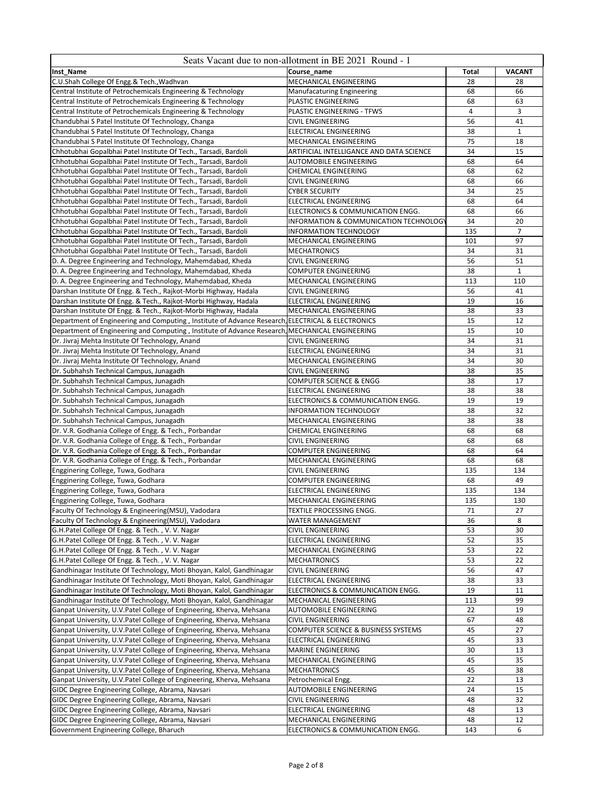|                                                                                                                                                                                                              | Seats Vacant due to non-allotment in BE 2021 Round - 1      |                      |               |
|--------------------------------------------------------------------------------------------------------------------------------------------------------------------------------------------------------------|-------------------------------------------------------------|----------------------|---------------|
| Inst_Name                                                                                                                                                                                                    | Course name                                                 | <b>Total</b>         | <b>VACANT</b> |
| C.U.Shah College Of Engg.& Tech., Wadhvan                                                                                                                                                                    | MECHANICAL ENGINEERING                                      | 28                   | 28            |
| Central Institute of Petrochemicals Engineering & Technology                                                                                                                                                 | <b>Manufacaturing Engineering</b>                           | 68                   | 66            |
| Central Institute of Petrochemicals Engineering & Technology                                                                                                                                                 | PLASTIC ENGINEERING                                         | 68                   | 63            |
| Central Institute of Petrochemicals Engineering & Technology                                                                                                                                                 | PLASTIC ENGINEERING - TFWS<br><b>CIVIL ENGINEERING</b>      | $\overline{4}$<br>56 | 3<br>41       |
| Chandubhai S Patel Institute Of Technology, Changa<br>Chandubhai S Patel Institute Of Technology, Changa                                                                                                     | ELECTRICAL ENGINEERING                                      | 38                   | $\mathbf{1}$  |
| Chandubhai S Patel Institute Of Technology, Changa                                                                                                                                                           | MECHANICAL ENGINEERING                                      | 75                   | 18            |
| Chhotubhai Gopalbhai Patel Institute Of Tech., Tarsadi, Bardoli                                                                                                                                              | ARTIFICIAL INTELLIGANCE AND DATA SCIENCE                    | 34                   | 15            |
| Chhotubhai Gopalbhai Patel Institute Of Tech., Tarsadi, Bardoli                                                                                                                                              | AUTOMOBILE ENGINEERING                                      | 68                   | 64            |
| Chhotubhai Gopalbhai Patel Institute Of Tech., Tarsadi, Bardoli                                                                                                                                              | CHEMICAL ENGINEERING                                        | 68                   | 62            |
| Chhotubhai Gopalbhai Patel Institute Of Tech., Tarsadi, Bardoli                                                                                                                                              | <b>CIVIL ENGINEERING</b>                                    | 68                   | 66            |
| Chhotubhai Gopalbhai Patel Institute Of Tech., Tarsadi, Bardoli                                                                                                                                              | <b>CYBER SECURITY</b>                                       | 34                   | 25            |
| Chhotubhai Gopalbhai Patel Institute Of Tech., Tarsadi, Bardoli                                                                                                                                              | <b>ELECTRICAL ENGINEERING</b>                               | 68                   | 64            |
| Chhotubhai Gopalbhai Patel Institute Of Tech., Tarsadi, Bardoli                                                                                                                                              | ELECTRONICS & COMMUNICATION ENGG.                           | 68                   | 66            |
| Chhotubhai Gopalbhai Patel Institute Of Tech., Tarsadi, Bardoli                                                                                                                                              | INFORMATION & COMMUNICATION TECHNOLOGY                      | 34                   | 20            |
| Chhotubhai Gopalbhai Patel Institute Of Tech., Tarsadi, Bardoli                                                                                                                                              | <b>INFORMATION TECHNOLOGY</b>                               | 135                  | 7             |
| Chhotubhai Gopalbhai Patel Institute Of Tech., Tarsadi, Bardoli                                                                                                                                              | MECHANICAL ENGINEERING                                      | 101                  | 97            |
| Chhotubhai Gopalbhai Patel Institute Of Tech., Tarsadi, Bardoli                                                                                                                                              | <b>MECHATRONICS</b>                                         | 34                   | 31            |
| D. A. Degree Engineering and Technology, Mahemdabad, Kheda                                                                                                                                                   | <b>CIVIL ENGINEERING</b>                                    | 56                   | 51            |
| D. A. Degree Engineering and Technology, Mahemdabad, Kheda                                                                                                                                                   | <b>COMPUTER ENGINEERING</b>                                 | 38                   | $\mathbf{1}$  |
| D. A. Degree Engineering and Technology, Mahemdabad, Kheda                                                                                                                                                   | MECHANICAL ENGINEERING                                      | 113                  | 110           |
| Darshan Institute Of Engg. & Tech., Rajkot-Morbi Highway, Hadala                                                                                                                                             | <b>CIVIL ENGINEERING</b>                                    | 56                   | 41            |
| Darshan Institute Of Engg. & Tech., Rajkot-Morbi Highway, Hadala                                                                                                                                             | ELECTRICAL ENGINEERING                                      | 19                   | 16            |
| Darshan Institute Of Engg. & Tech., Rajkot-Morbi Highway, Hadala                                                                                                                                             | MECHANICAL ENGINEERING                                      | 38                   | 33            |
| Department of Engineering and Computing, Institute of Advance Research, ELECTRICAL & ELECTRONICS                                                                                                             |                                                             | 15                   | 12            |
| Department of Engineering and Computing, Institute of Advance Research, MECHANICAL ENGINEERING                                                                                                               |                                                             | 15                   | 10            |
| Dr. Jivraj Mehta Institute Of Technology, Anand                                                                                                                                                              | <b>CIVIL ENGINEERING</b>                                    | 34                   | 31            |
| Dr. Jivraj Mehta Institute Of Technology, Anand                                                                                                                                                              | ELECTRICAL ENGINEERING                                      | 34                   | 31            |
| Dr. Jivraj Mehta Institute Of Technology, Anand                                                                                                                                                              | MECHANICAL ENGINEERING                                      | 34                   | 30            |
| Dr. Subhahsh Technical Campus, Junagadh                                                                                                                                                                      | <b>CIVIL ENGINEERING</b>                                    | 38                   | 35            |
| Dr. Subhahsh Technical Campus, Junagadh                                                                                                                                                                      | COMPUTER SCIENCE & ENGG                                     | 38<br>38             | 17<br>38      |
| Dr. Subhahsh Technical Campus, Junagadh                                                                                                                                                                      | ELECTRICAL ENGINEERING<br>ELECTRONICS & COMMUNICATION ENGG. | 19                   | 19            |
| Dr. Subhahsh Technical Campus, Junagadh<br>Dr. Subhahsh Technical Campus, Junagadh                                                                                                                           | INFORMATION TECHNOLOGY                                      | 38                   | 32            |
| Dr. Subhahsh Technical Campus, Junagadh                                                                                                                                                                      | MECHANICAL ENGINEERING                                      | 38                   | 38            |
| Dr. V.R. Godhania College of Engg. & Tech., Porbandar                                                                                                                                                        | <b>CHEMICAL ENGINEERING</b>                                 | 68                   | 68            |
| Dr. V.R. Godhania College of Engg. & Tech., Porbandar                                                                                                                                                        | <b>CIVIL ENGINEERING</b>                                    | 68                   | 68            |
| Dr. V.R. Godhania College of Engg. & Tech., Porbandar                                                                                                                                                        | COMPUTER ENGINEERING                                        | 68                   | 64            |
| Dr. V.R. Godhania College of Engg. & Tech., Porbandar                                                                                                                                                        | MECHANICAL ENGINEERING                                      | 68                   | 68            |
| Engginering College, Tuwa, Godhara                                                                                                                                                                           | <b>CIVIL ENGINEERING</b>                                    | 135                  | 134           |
| Engginering College, Tuwa, Godhara                                                                                                                                                                           | COMPUTER ENGINEERING                                        | 68                   | 49            |
| Engginering College, Tuwa, Godhara                                                                                                                                                                           | <b>ELECTRICAL ENGINEERING</b>                               | 135                  | 134           |
| Engginering College, Tuwa, Godhara                                                                                                                                                                           | MECHANICAL ENGINEERING                                      | 135                  | 130           |
| Faculty Of Technology & Engineering(MSU), Vadodara                                                                                                                                                           | TEXTILE PROCESSING ENGG.                                    | 71                   | 27            |
| Faculty Of Technology & Engineering(MSU), Vadodara                                                                                                                                                           | <b>WATER MANAGEMENT</b>                                     | 36                   | 8             |
| G.H.Patel College Of Engg. & Tech., V.V. Nagar                                                                                                                                                               | <b>CIVIL ENGINEERING</b>                                    | 53                   | 30            |
| G.H.Patel College Of Engg. & Tech., V.V. Nagar                                                                                                                                                               | <b>ELECTRICAL ENGINEERING</b>                               | 52                   | 35            |
| G.H.Patel College Of Engg. & Tech., V.V. Nagar                                                                                                                                                               | MECHANICAL ENGINEERING                                      | 53                   | 22            |
| G.H.Patel College Of Engg. & Tech., V.V. Nagar                                                                                                                                                               | <b>MECHATRONICS</b>                                         | 53                   | 22            |
| Gandhinagar Institute Of Technology, Moti Bhoyan, Kalol, Gandhinagar                                                                                                                                         | <b>CIVIL ENGINEERING</b>                                    | 56                   | 47            |
| Gandhinagar Institute Of Technology, Moti Bhoyan, Kalol, Gandhinagar                                                                                                                                         | <b>ELECTRICAL ENGINEERING</b>                               | 38                   | 33            |
| Gandhinagar Institute Of Technology, Moti Bhoyan, Kalol, Gandhinagar                                                                                                                                         | ELECTRONICS & COMMUNICATION ENGG.                           | 19                   | 11            |
| Gandhinagar Institute Of Technology, Moti Bhoyan, Kalol, Gandhinagar                                                                                                                                         | MECHANICAL ENGINEERING                                      | 113                  | 99            |
| Ganpat University, U.V.Patel College of Engineering, Kherva, Mehsana                                                                                                                                         | <b>AUTOMOBILE ENGINEERING</b>                               | 22                   | 19            |
| Ganpat University, U.V.Patel College of Engineering, Kherva, Mehsana                                                                                                                                         | <b>CIVIL ENGINEERING</b>                                    | 67                   | 48            |
| Ganpat University, U.V.Patel College of Engineering, Kherva, Mehsana                                                                                                                                         | <b>COMPUTER SCIENCE &amp; BUSINESS SYSTEMS</b>              | 45                   | 27            |
| Ganpat University, U.V.Patel College of Engineering, Kherva, Mehsana                                                                                                                                         | <b>ELECTRICAL ENGINEERING</b>                               | 45<br>30             | 33            |
| Ganpat University, U.V.Patel College of Engineering, Kherva, Mehsana<br>Ganpat University, U.V.Patel College of Engineering, Kherva, Mehsana                                                                 | MARINE ENGINEERING                                          | 45                   | 13<br>35      |
| Ganpat University, U.V.Patel College of Engineering, Kherva, Mehsana                                                                                                                                         | MECHANICAL ENGINEERING<br><b>MECHATRONICS</b>               | 45                   | 38            |
| Ganpat University, U.V.Patel College of Engineering, Kherva, Mehsana                                                                                                                                         | Petrochemical Engg.                                         | 22                   | 13            |
|                                                                                                                                                                                                              |                                                             | 24                   | 15            |
|                                                                                                                                                                                                              |                                                             |                      |               |
|                                                                                                                                                                                                              | AUTOMOBILE ENGINEERING                                      |                      |               |
|                                                                                                                                                                                                              | CIVIL ENGINEERING                                           | 48                   | 32            |
| GIDC Degree Engineering College, Abrama, Navsari<br>GIDC Degree Engineering College, Abrama, Navsari<br>GIDC Degree Engineering College, Abrama, Navsari<br>GIDC Degree Engineering College, Abrama, Navsari | ELECTRICAL ENGINEERING<br>MECHANICAL ENGINEERING            | 48<br>48             | 13<br>12      |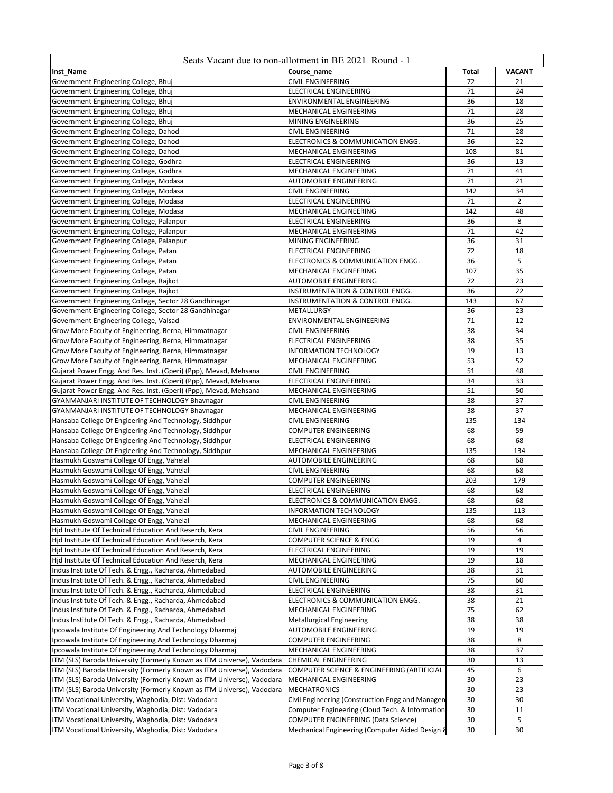|                                                                                                                | Seats Vacant due to non-allotment in BE 2021 Round - 1      |          |                |
|----------------------------------------------------------------------------------------------------------------|-------------------------------------------------------------|----------|----------------|
| Inst_Name                                                                                                      | Course name                                                 | Total    | <b>VACANT</b>  |
| Government Engineering College, Bhuj                                                                           | <b>CIVIL ENGINEERING</b>                                    | 72       | 21             |
| Government Engineering College, Bhuj                                                                           | <b>ELECTRICAL ENGINEERING</b>                               | 71       | 24             |
| Government Engineering College, Bhuj                                                                           | ENVIRONMENTAL ENGINEERING                                   | 36       | 18             |
| Government Engineering College, Bhuj                                                                           | MECHANICAL ENGINEERING                                      | 71       | 28             |
| Government Engineering College, Bhuj                                                                           | MINING ENGINEERING                                          | 36       | 25             |
| Government Engineering College, Dahod                                                                          | <b>CIVIL ENGINEERING</b>                                    | 71       | 28             |
| Government Engineering College, Dahod                                                                          | ELECTRONICS & COMMUNICATION ENGG.                           | 36       | 22             |
| Government Engineering College, Dahod                                                                          | MECHANICAL ENGINEERING                                      | 108      | 81             |
| Government Engineering College, Godhra                                                                         | <b>ELECTRICAL ENGINEERING</b>                               | 36       | 13             |
| Government Engineering College, Godhra                                                                         | MECHANICAL ENGINEERING                                      | 71       | 41             |
| Government Engineering College, Modasa                                                                         | AUTOMOBILE ENGINEERING                                      | 71       | 21             |
| Government Engineering College, Modasa                                                                         | <b>CIVIL ENGINEERING</b>                                    | 142      | 34             |
| Government Engineering College, Modasa                                                                         | <b>ELECTRICAL ENGINEERING</b>                               | 71       | $\overline{2}$ |
| Government Engineering College, Modasa                                                                         | MECHANICAL ENGINEERING                                      | 142      | 48             |
| Government Engineering College, Palanpur<br>Government Engineering College, Palanpur                           | ELECTRICAL ENGINEERING<br>MECHANICAL ENGINEERING            | 36<br>71 | 8<br>42        |
|                                                                                                                |                                                             | 36       | 31             |
| Government Engineering College, Palanpur<br>Government Engineering College, Patan                              | MINING ENGINEERING<br><b>ELECTRICAL ENGINEERING</b>         | 72       | 18             |
| Government Engineering College, Patan                                                                          | ELECTRONICS & COMMUNICATION ENGG.                           | 36       | 5              |
| Government Engineering College, Patan                                                                          | MECHANICAL ENGINEERING                                      | 107      | 35             |
| Government Engineering College, Rajkot                                                                         | <b>AUTOMOBILE ENGINEERING</b>                               | 72       | 23             |
| Government Engineering College, Rajkot                                                                         | <b>INSTRUMENTATION &amp; CONTROL ENGG.</b>                  | 36       | 22             |
| Government Engineering College, Sector 28 Gandhinagar                                                          | INSTRUMENTATION & CONTROL ENGG.                             | 143      | 67             |
| Government Engineering College, Sector 28 Gandhinagar                                                          | METALLURGY                                                  | 36       | 23             |
| Government Engineering College, Valsad                                                                         | ENVIRONMENTAL ENGINEERING                                   | 71       | 12             |
| Grow More Faculty of Engineering, Berna, Himmatnagar                                                           | <b>CIVIL ENGINEERING</b>                                    | 38       | 34             |
| Grow More Faculty of Engineering, Berna, Himmatnagar                                                           | <b>ELECTRICAL ENGINEERING</b>                               | 38       | 35             |
| Grow More Faculty of Engineering, Berna, Himmatnagar                                                           | <b>INFORMATION TECHNOLOGY</b>                               | 19       | 13             |
| Grow More Faculty of Engineering, Berna, Himmatnagar                                                           | MECHANICAL ENGINEERING                                      | 53       | 52             |
| Gujarat Power Engg. And Res. Inst. (Gperi) (Ppp), Mevad, Mehsana                                               | <b>CIVIL ENGINEERING</b>                                    | 51       | 48             |
| Gujarat Power Engg. And Res. Inst. (Gperi) (Ppp), Mevad, Mehsana                                               | <b>ELECTRICAL ENGINEERING</b>                               | 34       | 33             |
| Gujarat Power Engg. And Res. Inst. (Gperi) (Ppp), Mevad, Mehsana                                               | MECHANICAL ENGINEERING                                      | 51       | 50             |
| GYANMANJARI INSTITUTE OF TECHNOLOGY Bhavnagar                                                                  | <b>CIVIL ENGINEERING</b>                                    | 38       | 37             |
| GYANMANJARI INSTITUTE OF TECHNOLOGY Bhavnagar                                                                  | MECHANICAL ENGINEERING                                      | 38       | 37             |
| Hansaba College Of Engieering And Technology, Siddhpur                                                         | <b>CIVIL ENGINEERING</b>                                    | 135      | 134            |
| Hansaba College Of Engieering And Technology, Siddhpur                                                         | <b>COMPUTER ENGINEERING</b>                                 | 68       | 59             |
| Hansaba College Of Engieering And Technology, Siddhpur                                                         | ELECTRICAL ENGINEERING                                      | 68       | 68             |
| Hansaba College Of Engieering And Technology, Siddhpur                                                         | MECHANICAL ENGINEERING                                      | 135      | 134            |
| Hasmukh Goswami College Of Engg, Vahelal                                                                       | AUTOMOBILE ENGINEERING                                      | 68       | 68             |
| Hasmukh Goswami College Of Engg, Vahelal                                                                       | <b>CIVIL ENGINEERING</b>                                    | 68       | 68             |
| Hasmukh Goswami College Of Engg, Vahelal                                                                       | <b>COMPUTER ENGINEERING</b>                                 | 203      | 179            |
| Hasmukh Goswami College Of Engg, Vahelal                                                                       | <b>ELECTRICAL ENGINEERING</b>                               | 68       | 68             |
| Hasmukh Goswami College Of Engg, Vahelal                                                                       | ELECTRONICS & COMMUNICATION ENGG.                           | 68       | 68             |
| Hasmukh Goswami College Of Engg, Vahelal                                                                       | <b>INFORMATION TECHNOLOGY</b>                               | 135      | 113            |
| Hasmukh Goswami College Of Engg, Vahelal                                                                       | MECHANICAL ENGINEERING                                      | 68       | 68             |
| Hjd Institute Of Technical Education And Reserch, Kera                                                         | CIVIL ENGINEERING                                           | 56       | 56             |
| Hjd Institute Of Technical Education And Reserch, Kera                                                         | COMPUTER SCIENCE & ENGG                                     | 19       | 4              |
| Hjd Institute Of Technical Education And Reserch, Kera                                                         | ELECTRICAL ENGINEERING                                      | 19       | 19             |
| Hjd Institute Of Technical Education And Reserch, Kera                                                         | MECHANICAL ENGINEERING                                      | 19       | 18             |
| Indus Institute Of Tech. & Engg., Racharda, Ahmedabad                                                          | AUTOMOBILE ENGINEERING                                      | 38       | 31             |
| Indus Institute Of Tech. & Engg., Racharda, Ahmedabad                                                          | CIVIL ENGINEERING                                           | 75       | 60             |
| Indus Institute Of Tech. & Engg., Racharda, Ahmedabad                                                          | ELECTRICAL ENGINEERING                                      | 38       | 31             |
| Indus Institute Of Tech. & Engg., Racharda, Ahmedabad<br>Indus Institute Of Tech. & Engg., Racharda, Ahmedabad | ELECTRONICS & COMMUNICATION ENGG.<br>MECHANICAL ENGINEERING | 38<br>75 | 21<br>62       |
| Indus Institute Of Tech. & Engg., Racharda, Ahmedabad                                                          | <b>Metallurgical Engineering</b>                            | 38       | 38             |
| Ipcowala Institute Of Engineering And Technology Dharmaj                                                       | AUTOMOBILE ENGINEERING                                      | 19       | 19             |
| Ipcowala Institute Of Engineering And Technology Dharmaj                                                       | COMPUTER ENGINEERING                                        | 38       | 8              |
| Ipcowala Institute Of Engineering And Technology Dharmaj                                                       | MECHANICAL ENGINEERING                                      | 38       | 37             |
| ITM (SLS) Baroda University (Formerly Known as ITM Universe), Vadodara                                         | <b>CHEMICAL ENGINEERING</b>                                 | 30       | 13             |
| ITM (SLS) Baroda University (Formerly Known as ITM Universe), Vadodara                                         | COMPUTER SCIENCE & ENGINEERING (ARTIFICIAL                  | 45       | 6              |
| ITM (SLS) Baroda University (Formerly Known as ITM Universe), Vadodara                                         | MECHANICAL ENGINEERING                                      | 30       | 23             |
| ITM (SLS) Baroda University (Formerly Known as ITM Universe), Vadodara                                         | <b>MECHATRONICS</b>                                         | 30       | 23             |
| ITM Vocational University, Waghodia, Dist: Vadodara                                                            | Civil Engineering (Construction Engg and Managen            | 30       | 30             |
| ITM Vocational University, Waghodia, Dist: Vadodara                                                            | Computer Engineering (Cloud Tech. & Information             | 30       | 11             |
| ITM Vocational University, Waghodia, Dist: Vadodara                                                            | <b>COMPUTER ENGINEERING (Data Science)</b>                  | 30       | 5              |
| ITM Vocational University, Waghodia, Dist: Vadodara                                                            | Mechanical Engineering (Computer Aided Design 8             | 30       | 30             |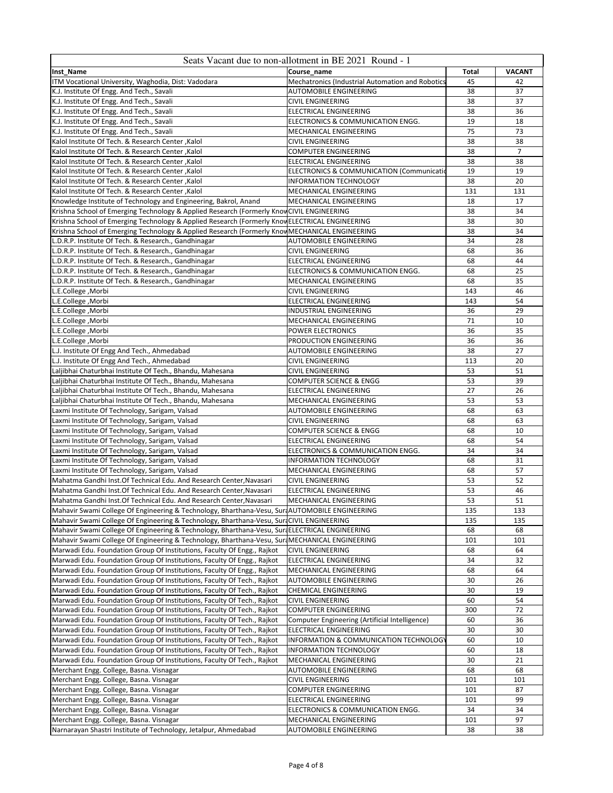|                                                                                                | Seats Vacant due to non-allotment in BE 2021 Round - 1 |              |                |
|------------------------------------------------------------------------------------------------|--------------------------------------------------------|--------------|----------------|
| Inst_Name                                                                                      | Course name                                            | <b>Total</b> | <b>VACANT</b>  |
| ITM Vocational University, Waghodia, Dist: Vadodara                                            | Mechatronics (Industrial Automation and Robotics       | 45           | 42             |
| K.J. Institute Of Engg. And Tech., Savali                                                      | AUTOMOBILE ENGINEERING                                 | 38           | 37             |
| K.J. Institute Of Engg. And Tech., Savali                                                      | <b>CIVIL ENGINEERING</b>                               | 38           | 37             |
| K.J. Institute Of Engg. And Tech., Savali                                                      | ELECTRICAL ENGINEERING                                 | 38           | 36             |
| K.J. Institute Of Engg. And Tech., Savali                                                      | ELECTRONICS & COMMUNICATION ENGG.                      | 19           | 18             |
| K.J. Institute Of Engg. And Tech., Savali                                                      | MECHANICAL ENGINEERING                                 | 75           | 73             |
| Kalol Institute Of Tech. & Research Center, Kalol                                              | CIVIL ENGINEERING                                      | 38           | 38             |
| Kalol Institute Of Tech. & Research Center, Kalol                                              | <b>COMPUTER ENGINEERING</b>                            | 38           | $\overline{7}$ |
| Kalol Institute Of Tech. & Research Center, Kalol                                              | <b>ELECTRICAL ENGINEERING</b>                          | 38           | 38             |
| Kalol Institute Of Tech. & Research Center, Kalol                                              | <b>ELECTRONICS &amp; COMMUNICATION (Communication</b>  | 19           | 19             |
| Kalol Institute Of Tech. & Research Center, Kalol                                              | INFORMATION TECHNOLOGY                                 | 38           | 20             |
| Kalol Institute Of Tech. & Research Center, Kalol                                              | MECHANICAL ENGINEERING                                 | 131          | 131            |
| Knowledge Institute of Technology and Engineering, Bakrol, Anand                               | <b>MECHANICAL ENGINEERING</b>                          | 18           | 17             |
| Krishna School of Emerging Technology & Applied Research (Formerly KnovCIVIL ENGINEERING       |                                                        | 38           | 34             |
|                                                                                                |                                                        | 38           | 30             |
| Krishna School of Emerging Technology & Applied Research (Formerly KnowELECTRICAL ENGINEERING  |                                                        |              |                |
| Krishna School of Emerging Technology & Applied Research (Formerly Knov MECHANICAL ENGINEERING |                                                        | 38           | 34             |
| L.D.R.P. Institute Of Tech. & Research., Gandhinagar                                           | AUTOMOBILE ENGINEERING                                 | 34           | 28             |
| L.D.R.P. Institute Of Tech. & Research., Gandhinagar                                           | <b>CIVIL ENGINEERING</b>                               | 68           | 36             |
| L.D.R.P. Institute Of Tech. & Research., Gandhinagar                                           | ELECTRICAL ENGINEERING                                 | 68           | 44             |
| L.D.R.P. Institute Of Tech. & Research., Gandhinagar                                           | ELECTRONICS & COMMUNICATION ENGG.                      | 68           | 25             |
| L.D.R.P. Institute Of Tech. & Research., Gandhinagar                                           | MECHANICAL ENGINEERING                                 | 68           | 35             |
| L.E.College, Morbi                                                                             | <b>CIVIL ENGINEERING</b>                               | 143          | 46             |
| L.E.College, Morbi                                                                             | ELECTRICAL ENGINEERING                                 | 143          | 54             |
| L.E.College, Morbi                                                                             | <b>INDUSTRIAL ENGINEERING</b>                          | 36           | 29             |
| L.E.College, Morbi                                                                             | MECHANICAL ENGINEERING                                 | 71           | 10             |
| L.E.College, Morbi                                                                             | POWER ELECTRONICS                                      | 36           | 35             |
| L.E.College, Morbi                                                                             | PRODUCTION ENGINEERING                                 | 36           | 36             |
| L.J. Institute Of Engg And Tech., Ahmedabad                                                    | AUTOMOBILE ENGINEERING                                 | 38           | 27             |
| L.J. Institute Of Engg And Tech., Ahmedabad                                                    | CIVIL ENGINEERING                                      | 113          | 20             |
| Laljibhai Chaturbhai Institute Of Tech., Bhandu, Mahesana                                      | <b>CIVIL ENGINEERING</b>                               | 53           | 51             |
| Laljibhai Chaturbhai Institute Of Tech., Bhandu, Mahesana                                      | <b>COMPUTER SCIENCE &amp; ENGG</b>                     | 53           | 39             |
| Laljibhai Chaturbhai Institute Of Tech., Bhandu, Mahesana                                      | ELECTRICAL ENGINEERING                                 | 27           | 26             |
| Laljibhai Chaturbhai Institute Of Tech., Bhandu, Mahesana                                      | MECHANICAL ENGINEERING                                 | 53           | 53             |
| Laxmi Institute Of Technology, Sarigam, Valsad                                                 | AUTOMOBILE ENGINEERING                                 | 68           | 63             |
| Laxmi Institute Of Technology, Sarigam, Valsad                                                 | <b>CIVIL ENGINEERING</b>                               | 68           | 63             |
| Laxmi Institute Of Technology, Sarigam, Valsad                                                 | <b>COMPUTER SCIENCE &amp; ENGG</b>                     | 68           | 10             |
| Laxmi Institute Of Technology, Sarigam, Valsad                                                 | ELECTRICAL ENGINEERING                                 | 68           | 54             |
| Laxmi Institute Of Technology, Sarigam, Valsad                                                 | ELECTRONICS & COMMUNICATION ENGG.                      | 34           | 34             |
| Laxmi Institute Of Technology, Sarigam, Valsad                                                 | <b>INFORMATION TECHNOLOGY</b>                          | 68           | 31             |
| Laxmi Institute Of Technology, Sarigam, Valsad                                                 | MECHANICAL ENGINEERING                                 | 68           | 57             |
| Mahatma Gandhi Inst.Of Technical Edu. And Research Center, Navasari                            | <b>CIVIL ENGINEERING</b>                               | 53           | 52             |
| Mahatma Gandhi Inst.Of Technical Edu. And Research Center, Navasari                            | <b>ELECTRICAL ENGINEERING</b>                          | 53           | 46             |
| Mahatma Gandhi Inst. Of Technical Edu. And Research Center, Navasari                           | MECHANICAL ENGINEERING                                 | 53           | 51             |
| Mahavir Swami College Of Engineering & Technology, Bharthana-Vesu, SuraAUTOMOBILE ENGINEERING  |                                                        | 135          | 133            |
| Mahavir Swami College Of Engineering & Technology, Bharthana-Vesu, SuraCIVIL ENGINEERING       |                                                        | 135          | 135            |
| Mahavir Swami College Of Engineering & Technology, Bharthana-Vesu, SurfELECTRICAL ENGINEERING  |                                                        | 68           | 68             |
| Mahavir Swami College Of Engineering & Technology, Bharthana-Vesu, SurdMECHANICAL ENGINEERING  |                                                        | 101          | 101            |
| Marwadi Edu. Foundation Group Of Institutions, Faculty Of Engg., Rajkot                        | <b>CIVIL ENGINEERING</b>                               | 68           | 64             |
| Marwadi Edu. Foundation Group Of Institutions, Faculty Of Engg., Rajkot                        | ELECTRICAL ENGINEERING                                 | 34           | 32             |
| Marwadi Edu. Foundation Group Of Institutions, Faculty Of Engg., Rajkot                        | MECHANICAL ENGINEERING                                 | 68           | 64             |
| Marwadi Edu. Foundation Group Of Institutions, Faculty Of Tech., Rajkot                        | AUTOMOBILE ENGINEERING                                 | 30           | 26             |
| Marwadi Edu. Foundation Group Of Institutions, Faculty Of Tech., Rajkot                        | CHEMICAL ENGINEERING                                   | 30           | 19             |
| Marwadi Edu. Foundation Group Of Institutions, Faculty Of Tech., Rajkot                        | <b>CIVIL ENGINEERING</b>                               | 60           | 54             |
| Marwadi Edu. Foundation Group Of Institutions, Faculty Of Tech., Rajkot                        | <b>COMPUTER ENGINEERING</b>                            | 300          | 72             |
| Marwadi Edu. Foundation Group Of Institutions, Faculty Of Tech., Rajkot                        | Computer Engineering (Artificial Intelligence)         | 60           | 36             |
| Marwadi Edu. Foundation Group Of Institutions, Faculty Of Tech., Rajkot                        | ELECTRICAL ENGINEERING                                 | 30           | 30             |
| Marwadi Edu. Foundation Group Of Institutions, Faculty Of Tech., Rajkot                        | INFORMATION & COMMUNICATION TECHNOLOGY                 | 60           | 10             |
| Marwadi Edu. Foundation Group Of Institutions, Faculty Of Tech., Rajkot                        | <b>INFORMATION TECHNOLOGY</b>                          | 60           | 18             |
| Marwadi Edu. Foundation Group Of Institutions, Faculty Of Tech., Rajkot                        | MECHANICAL ENGINEERING                                 | 30           | 21             |
| Merchant Engg. College, Basna. Visnagar                                                        | AUTOMOBILE ENGINEERING                                 | 68           | 68             |
| Merchant Engg. College, Basna. Visnagar                                                        | <b>CIVIL ENGINEERING</b>                               | 101          | 101            |
| Merchant Engg. College, Basna. Visnagar                                                        | <b>COMPUTER ENGINEERING</b>                            | 101          | 87             |
| Merchant Engg. College, Basna. Visnagar                                                        | <b>ELECTRICAL ENGINEERING</b>                          | 101          | 99             |
| Merchant Engg. College, Basna. Visnagar                                                        | ELECTRONICS & COMMUNICATION ENGG.                      | 34           | 34             |
| Merchant Engg. College, Basna. Visnagar                                                        | MECHANICAL ENGINEERING                                 | 101          | 97             |
| Narnarayan Shastri Institute of Technology, Jetalpur, Ahmedabad                                | <b>AUTOMOBILE ENGINEERING</b>                          | 38           | 38             |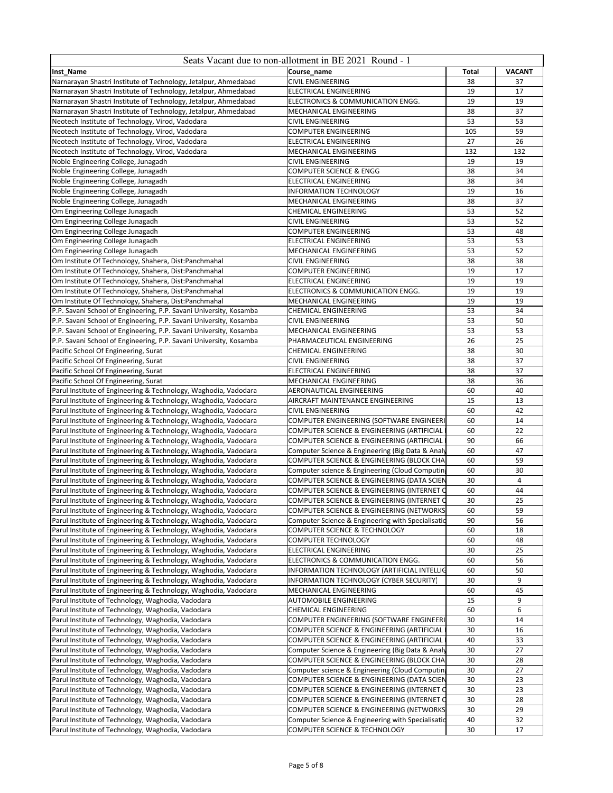|                                                                                                                                          | Seats Vacant due to non-allotment in BE 2021 Round - 1 |          |               |
|------------------------------------------------------------------------------------------------------------------------------------------|--------------------------------------------------------|----------|---------------|
| Inst_Name                                                                                                                                | Course_name                                            | Total    | <b>VACANT</b> |
| Narnarayan Shastri Institute of Technology, Jetalpur, Ahmedabad                                                                          | <b>CIVIL ENGINEERING</b>                               | 38       | 37            |
| Narnarayan Shastri Institute of Technology, Jetalpur, Ahmedabad                                                                          | <b>ELECTRICAL ENGINEERING</b>                          | 19       | 17            |
| Narnarayan Shastri Institute of Technology, Jetalpur, Ahmedabad                                                                          | ELECTRONICS & COMMUNICATION ENGG.                      | 19       | 19            |
| Narnarayan Shastri Institute of Technology, Jetalpur, Ahmedabad                                                                          | MECHANICAL ENGINEERING                                 | 38       | 37            |
| Neotech Institute of Technology, Virod, Vadodara                                                                                         | CIVIL ENGINEERING                                      | 53       | 53            |
| Neotech Institute of Technology, Virod, Vadodara                                                                                         | <b>COMPUTER ENGINEERING</b>                            | 105      | 59            |
| Neotech Institute of Technology, Virod, Vadodara                                                                                         | ELECTRICAL ENGINEERING                                 | 27       | 26            |
| Neotech Institute of Technology, Virod, Vadodara                                                                                         | MECHANICAL ENGINEERING                                 | 132      | 132           |
| Noble Engineering College, Junagadh                                                                                                      | <b>CIVIL ENGINEERING</b>                               | 19       | 19            |
| Noble Engineering College, Junagadh                                                                                                      | <b>COMPUTER SCIENCE &amp; ENGG</b>                     | 38       | 34            |
| Noble Engineering College, Junagadh                                                                                                      | <b>ELECTRICAL ENGINEERING</b>                          | 38       | 34            |
| Noble Engineering College, Junagadh                                                                                                      | <b>INFORMATION TECHNOLOGY</b>                          | 19       | 16            |
| Noble Engineering College, Junagadh                                                                                                      | MECHANICAL ENGINEERING                                 | 38       | 37            |
| Om Engineering College Junagadh                                                                                                          | <b>CHEMICAL ENGINEERING</b>                            | 53       | 52            |
| Om Engineering College Junagadh                                                                                                          | <b>CIVIL ENGINEERING</b>                               | 53       | 52            |
| Om Engineering College Junagadh                                                                                                          | COMPUTER ENGINEERING                                   | 53       | 48            |
| Om Engineering College Junagadh                                                                                                          | ELECTRICAL ENGINEERING                                 | 53       | 53            |
| Om Engineering College Junagadh                                                                                                          | MECHANICAL ENGINEERING                                 | 53       | 52            |
| Om Institute Of Technology, Shahera, Dist:Panchmahal                                                                                     | <b>CIVIL ENGINEERING</b>                               | 38       | 38            |
| Om Institute Of Technology, Shahera, Dist:Panchmahal                                                                                     | COMPUTER ENGINEERING                                   | 19       | 17            |
| Om Institute Of Technology, Shahera, Dist:Panchmahal                                                                                     | <b>ELECTRICAL ENGINEERING</b>                          | 19       | 19            |
| Om Institute Of Technology, Shahera, Dist:Panchmahal                                                                                     | ELECTRONICS & COMMUNICATION ENGG.                      | 19       | 19            |
| Om Institute Of Technology, Shahera, Dist:Panchmahal                                                                                     | MECHANICAL ENGINEERING                                 | 19       | 19            |
| P.P. Savani School of Engineering, P.P. Savani University, Kosamba<br>P.P. Savani School of Engineering, P.P. Savani University, Kosamba | CHEMICAL ENGINEERING<br><b>CIVIL ENGINEERING</b>       | 53<br>53 | 34<br>50      |
|                                                                                                                                          |                                                        |          | 53            |
| P.P. Savani School of Engineering, P.P. Savani University, Kosamba                                                                       | MECHANICAL ENGINEERING                                 | 53<br>26 | 25            |
| P.P. Savani School of Engineering, P.P. Savani University, Kosamba<br>Pacific School Of Engineering, Surat                               | PHARMACEUTICAL ENGINEERING<br>CHEMICAL ENGINEERING     | 38       | 30            |
| Pacific School Of Engineering, Surat                                                                                                     | <b>CIVIL ENGINEERING</b>                               | 38       | 37            |
| Pacific School Of Engineering, Surat                                                                                                     | <b>ELECTRICAL ENGINEERING</b>                          | 38       | 37            |
| Pacific School Of Engineering, Surat                                                                                                     | MECHANICAL ENGINEERING                                 | 38       | 36            |
| Parul Institute of Engineering & Technology, Waghodia, Vadodara                                                                          | AERONAUTICAL ENGINEERING                               | 60       | 40            |
| Parul Institute of Engineering & Technology, Waghodia, Vadodara                                                                          | AIRCRAFT MAINTENANCE ENGINEERING                       | 15       | 13            |
| Parul Institute of Engineering & Technology, Waghodia, Vadodara                                                                          | <b>CIVIL ENGINEERING</b>                               | 60       | 42            |
| Parul Institute of Engineering & Technology, Waghodia, Vadodara                                                                          | COMPUTER ENGINEERING (SOFTWARE ENGINEERI               | 60       | 14            |
| Parul Institute of Engineering & Technology, Waghodia, Vadodara                                                                          | COMPUTER SCIENCE & ENGINEERING (ARTIFICIAL             | 60       | 22            |
| Parul Institute of Engineering & Technology, Waghodia, Vadodara                                                                          | COMPUTER SCIENCE & ENGINEERING (ARTIFICIAL             | 90       | 66            |
| Parul Institute of Engineering & Technology, Waghodia, Vadodara                                                                          | Computer Science & Engineering (Big Data & Analy       | 60       | 47            |
| Parul Institute of Engineering & Technology, Waghodia, Vadodara                                                                          | COMPUTER SCIENCE & ENGINEERING (BLOCK CHA              | 60       | 59            |
| Parul Institute of Engineering & Technology, Waghodia, Vadodara                                                                          | Computer science & Engineering (Cloud Computin         | 60       | 30            |
| Parul Institute of Engineering & Technology, Waghodia, Vadodara                                                                          | COMPUTER SCIENCE & ENGINEERING (DATA SCIEN             | 30       | 4             |
| Parul Institute of Engineering & Technology, Waghodia, Vadodara                                                                          | COMPUTER SCIENCE & ENGINEERING (INTERNET C             | 60       | 44            |
| Parul Institute of Engineering & Technology, Waghodia, Vadodara                                                                          | COMPUTER SCIENCE & ENGINEERING (INTERNET O             | 30       | 25            |
| Parul Institute of Engineering & Technology, Waghodia, Vadodara                                                                          | COMPUTER SCIENCE & ENGINEERING (NETWORKS               | 60       | 59            |
| Parul Institute of Engineering & Technology, Waghodia, Vadodara                                                                          | Computer Science & Engineering with Specialisatic      | 90       | 56            |
| Parul Institute of Engineering & Technology, Waghodia, Vadodara                                                                          | COMPUTER SCIENCE & TECHNOLOGY                          | 60       | 18            |
| Parul Institute of Engineering & Technology, Waghodia, Vadodara                                                                          | <b>COMPUTER TECHNOLOGY</b>                             | 60       | 48            |
| Parul Institute of Engineering & Technology, Waghodia, Vadodara                                                                          | ELECTRICAL ENGINEERING                                 | 30       | 25            |
| Parul Institute of Engineering & Technology, Waghodia, Vadodara                                                                          | ELECTRONICS & COMMUNICATION ENGG.                      | 60       | 56            |
| Parul Institute of Engineering & Technology, Waghodia, Vadodara                                                                          | INFORMATION TECHNOLOGY (ARTIFICIAL INTELLIC            | 60       | 50            |
| Parul Institute of Engineering & Technology, Waghodia, Vadodara                                                                          | INFORMATION TECHNOLOGY (CYBER SECURITY)                | 30       | 9             |
| Parul Institute of Engineering & Technology, Waghodia, Vadodara                                                                          | MECHANICAL ENGINEERING                                 | 60       | 45            |
| Parul Institute of Technology, Waghodia, Vadodara                                                                                        | <b>AUTOMOBILE ENGINEERING</b>                          | 15       | 9             |
| Parul Institute of Technology, Waghodia, Vadodara                                                                                        | <b>CHEMICAL ENGINEERING</b>                            | 60       | 6             |
| Parul Institute of Technology, Waghodia, Vadodara                                                                                        | COMPUTER ENGINEERING (SOFTWARE ENGINEERI               | 30       | 14            |
| Parul Institute of Technology, Waghodia, Vadodara                                                                                        | COMPUTER SCIENCE & ENGINEERING (ARTIFICIAL             | 30       | 16            |
| Parul Institute of Technology, Waghodia, Vadodara                                                                                        | COMPUTER SCIENCE & ENGINEERING (ARTIFICIAL             | 40       | 33            |
| Parul Institute of Technology, Waghodia, Vadodara                                                                                        | Computer Science & Engineering (Big Data & Analy       | 30       | 27            |
| Parul Institute of Technology, Waghodia, Vadodara                                                                                        | COMPUTER SCIENCE & ENGINEERING (BLOCK CHA              | 30       | 28            |
| Parul Institute of Technology, Waghodia, Vadodara                                                                                        | Computer science & Engineering (Cloud Computing        | 30       | 27            |
| Parul Institute of Technology, Waghodia, Vadodara                                                                                        | <b>COMPUTER SCIENCE &amp; ENGINEERING (DATA SCIEN</b>  | 30       | 23            |
| Parul Institute of Technology, Waghodia, Vadodara                                                                                        | COMPUTER SCIENCE & ENGINEERING (INTERNET C             | 30       | 23            |
| Parul Institute of Technology, Waghodia, Vadodara                                                                                        | COMPUTER SCIENCE & ENGINEERING (INTERNET C             | 30       | 28            |
| Parul Institute of Technology, Waghodia, Vadodara                                                                                        | COMPUTER SCIENCE & ENGINEERING (NETWORKS               | 30       | 29            |
| Parul Institute of Technology, Waghodia, Vadodara                                                                                        | Computer Science & Engineering with Specialisatio      | 40       | 32            |
| Parul Institute of Technology, Waghodia, Vadodara                                                                                        | COMPUTER SCIENCE & TECHNOLOGY                          | 30       | 17            |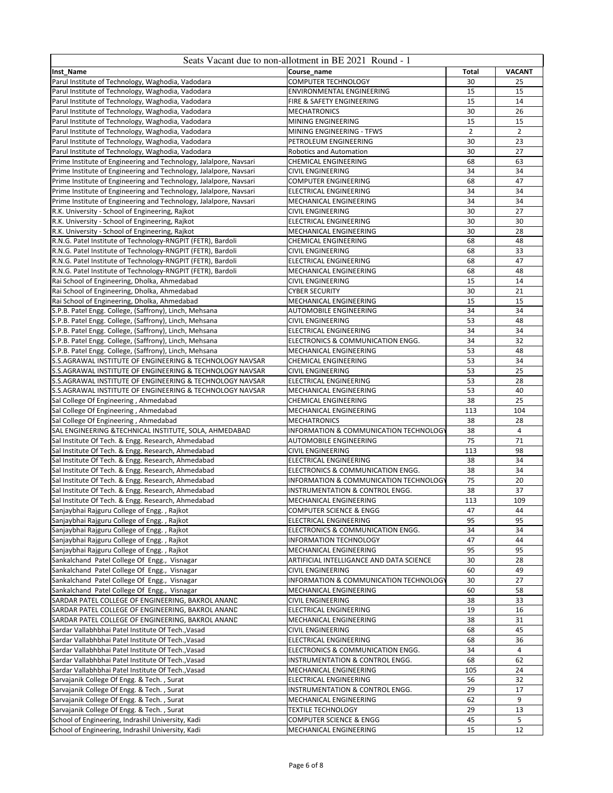| Course name<br><b>Total</b><br><b>VACANT</b><br>COMPUTER TECHNOLOGY<br>30<br>25<br>ENVIRONMENTAL ENGINEERING<br>Parul Institute of Technology, Waghodia, Vadodara<br>15<br>15<br>15<br>14<br>Parul Institute of Technology, Waghodia, Vadodara<br>FIRE & SAFETY ENGINEERING<br>30<br>26<br>Parul Institute of Technology, Waghodia, Vadodara<br><b>MECHATRONICS</b><br>15<br>15<br>Parul Institute of Technology, Waghodia, Vadodara<br>MINING ENGINEERING<br>$\overline{2}$<br>$\overline{2}$<br>Parul Institute of Technology, Waghodia, Vadodara<br>MINING ENGINEERING - TFWS<br>Parul Institute of Technology, Waghodia, Vadodara<br>PETROLEUM ENGINEERING<br>30<br>23<br>30<br>27<br>Parul Institute of Technology, Waghodia, Vadodara<br><b>Robotics and Automation</b><br>Prime Institute of Engineering and Technology, Jalalpore, Navsari<br>CHEMICAL ENGINEERING<br>68<br>63<br>Prime Institute of Engineering and Technology, Jalalpore, Navsari<br><b>CIVIL ENGINEERING</b><br>34<br>34<br>Prime Institute of Engineering and Technology, Jalalpore, Navsari<br><b>COMPUTER ENGINEERING</b><br>68<br>47<br>34<br>34<br>Prime Institute of Engineering and Technology, Jalalpore, Navsari<br>ELECTRICAL ENGINEERING<br>Prime Institute of Engineering and Technology, Jalalpore, Navsari<br>MECHANICAL ENGINEERING<br>34<br>34<br>R.K. University - School of Engineering, Rajkot<br>30<br>27<br><b>CIVIL ENGINEERING</b><br>R.K. University - School of Engineering, Rajkot<br>30<br>30<br>ELECTRICAL ENGINEERING<br>R.K. University - School of Engineering, Rajkot<br>MECHANICAL ENGINEERING<br>30<br>28<br>68<br>48<br>R.N.G. Patel Institute of Technology-RNGPIT (FETR), Bardoli<br>CHEMICAL ENGINEERING<br>R.N.G. Patel Institute of Technology-RNGPIT (FETR), Bardoli<br><b>CIVIL ENGINEERING</b><br>68<br>33<br>R.N.G. Patel Institute of Technology-RNGPIT (FETR), Bardoli<br>47<br>ELECTRICAL ENGINEERING<br>68<br>R.N.G. Patel Institute of Technology-RNGPIT (FETR), Bardoli<br>68<br>48<br>MECHANICAL ENGINEERING<br>Rai School of Engineering, Dholka, Ahmedabad<br><b>CIVIL ENGINEERING</b><br>15<br>14<br>Rai School of Engineering, Dholka, Ahmedabad<br><b>CYBER SECURITY</b><br>30<br>21<br>15<br>15<br>Rai School of Engineering, Dholka, Ahmedabad<br>MECHANICAL ENGINEERING<br>S.P.B. Patel Engg. College, (Saffrony), Linch, Mehsana<br><b>AUTOMOBILE ENGINEERING</b><br>34<br>34<br>53<br>48<br>S.P.B. Patel Engg. College, (Saffrony), Linch, Mehsana<br><b>CIVIL ENGINEERING</b><br>34<br>S.P.B. Patel Engg. College, (Saffrony), Linch, Mehsana<br>34<br>ELECTRICAL ENGINEERING<br>S.P.B. Patel Engg. College, (Saffrony), Linch, Mehsana<br>ELECTRONICS & COMMUNICATION ENGG.<br>34<br>32<br>S.P.B. Patel Engg. College, (Saffrony), Linch, Mehsana<br>MECHANICAL ENGINEERING<br>53<br>48<br>53<br>S.S.AGRAWAL INSTITUTE OF ENGINEERING & TECHNOLOGY NAVSAR<br>34<br><b>CHEMICAL ENGINEERING</b><br>S.S.AGRAWAL INSTITUTE OF ENGINEERING & TECHNOLOGY NAVSAR<br><b>CIVIL ENGINEERING</b><br>53<br>25<br>S.S.AGRAWAL INSTITUTE OF ENGINEERING & TECHNOLOGY NAVSAR<br>ELECTRICAL ENGINEERING<br>53<br>28<br>53<br>S.S.AGRAWAL INSTITUTE OF ENGINEERING & TECHNOLOGY NAVSAR<br>40<br>MECHANICAL ENGINEERING<br>Sal College Of Engineering, Ahmedabad<br>38<br>25<br><b>CHEMICAL ENGINEERING</b><br>Sal College Of Engineering, Ahmedabad<br>MECHANICAL ENGINEERING<br>104<br>113<br>Sal College Of Engineering, Ahmedabad<br><b>MECHATRONICS</b><br>38<br>28<br>SAL ENGINEERING & TECHNICAL INSTITUTE, SOLA, AHMEDABAD<br>INFORMATION & COMMUNICATION TECHNOLOGY<br>38<br>$\overline{4}$<br>75<br>71<br>Sal Institute Of Tech. & Engg. Research, Ahmedabad<br>AUTOMOBILE ENGINEERING<br>Sal Institute Of Tech. & Engg. Research, Ahmedabad<br><b>CIVIL ENGINEERING</b><br>113<br>98<br>Sal Institute Of Tech. & Engg. Research, Ahmedabad<br>ELECTRICAL ENGINEERING<br>34<br>38<br>38<br>34<br>Sal Institute Of Tech. & Engg. Research, Ahmedabad<br>ELECTRONICS & COMMUNICATION ENGG.<br>Sal Institute Of Tech. & Engg. Research, Ahmedabad<br>INFORMATION & COMMUNICATION TECHNOLOGY<br>75<br>20<br>Sal Institute Of Tech. & Engg. Research, Ahmedabad<br>INSTRUMENTATION & CONTROL ENGG.<br>38<br>37<br>113<br>109<br>Sal Institute Of Tech. & Engg. Research, Ahmedabad<br>MECHANICAL ENGINEERING<br>Sanjaybhai Rajguru College of Engg., Rajkot<br><b>COMPUTER SCIENCE &amp; ENGG</b><br>47<br>44<br>95<br><b>ELECTRICAL ENGINEERING</b><br>95<br>ELECTRONICS & COMMUNICATION ENGG.<br>34<br>34<br>44<br><b>INFORMATION TECHNOLOGY</b><br>47<br>MECHANICAL ENGINEERING<br>95<br>95<br>ARTIFICIAL INTELLIGANCE AND DATA SCIENCE<br>28<br>30<br><b>CIVIL ENGINEERING</b><br>60<br>49<br>INFORMATION & COMMUNICATION TECHNOLOGY<br>30<br>27<br>MECHANICAL ENGINEERING<br>60<br>58<br><b>CIVIL ENGINEERING</b><br>38<br>33<br>ELECTRICAL ENGINEERING<br>19<br>16<br>MECHANICAL ENGINEERING<br>38<br>31<br><b>CIVIL ENGINEERING</b><br>45<br>68<br>ELECTRICAL ENGINEERING<br>36<br>68<br>34<br>4<br>ELECTRONICS & COMMUNICATION ENGG.<br>INSTRUMENTATION & CONTROL ENGG.<br>68<br>62<br>MECHANICAL ENGINEERING<br>105<br>24<br>ELECTRICAL ENGINEERING<br>56<br>32<br>17<br>INSTRUMENTATION & CONTROL ENGG.<br>29<br>MECHANICAL ENGINEERING<br>9<br>62<br>29<br>13<br><b>TEXTILE TECHNOLOGY</b><br>5<br><b>COMPUTER SCIENCE &amp; ENGG</b><br>45<br>MECHANICAL ENGINEERING<br>15<br>12 |                                                    | Seats Vacant due to non-allotment in BE 2021 Round - 1 |  |
|----------------------------------------------------------------------------------------------------------------------------------------------------------------------------------------------------------------------------------------------------------------------------------------------------------------------------------------------------------------------------------------------------------------------------------------------------------------------------------------------------------------------------------------------------------------------------------------------------------------------------------------------------------------------------------------------------------------------------------------------------------------------------------------------------------------------------------------------------------------------------------------------------------------------------------------------------------------------------------------------------------------------------------------------------------------------------------------------------------------------------------------------------------------------------------------------------------------------------------------------------------------------------------------------------------------------------------------------------------------------------------------------------------------------------------------------------------------------------------------------------------------------------------------------------------------------------------------------------------------------------------------------------------------------------------------------------------------------------------------------------------------------------------------------------------------------------------------------------------------------------------------------------------------------------------------------------------------------------------------------------------------------------------------------------------------------------------------------------------------------------------------------------------------------------------------------------------------------------------------------------------------------------------------------------------------------------------------------------------------------------------------------------------------------------------------------------------------------------------------------------------------------------------------------------------------------------------------------------------------------------------------------------------------------------------------------------------------------------------------------------------------------------------------------------------------------------------------------------------------------------------------------------------------------------------------------------------------------------------------------------------------------------------------------------------------------------------------------------------------------------------------------------------------------------------------------------------------------------------------------------------------------------------------------------------------------------------------------------------------------------------------------------------------------------------------------------------------------------------------------------------------------------------------------------------------------------------------------------------------------------------------------------------------------------------------------------------------------------------------------------------------------------------------------------------------------------------------------------------------------------------------------------------------------------------------------------------------------------------------------------------------------------------------------------------------------------------------------------------------------------------------------------------------------------------------------------------------------------------------------------------------------------------------------------------------------------------------------------------------------------------------------------------------------------------------------------------------------------------------------------------------------------------------------------------------------------------------------------------------------------------------------------------------------------------------------------------------------------------------------------------------------------------------------------------------------------------------------------------------------------------------------------------------------------------------------------------------------------------------------------------------------------------------------------------------------------------------------------------------------------------------------------------------------------------------------------------------------------------------------------------------------------------------------------------------------------------------------------------------------------------------------------------------------------|----------------------------------------------------|--------------------------------------------------------|--|
|                                                                                                                                                                                                                                                                                                                                                                                                                                                                                                                                                                                                                                                                                                                                                                                                                                                                                                                                                                                                                                                                                                                                                                                                                                                                                                                                                                                                                                                                                                                                                                                                                                                                                                                                                                                                                                                                                                                                                                                                                                                                                                                                                                                                                                                                                                                                                                                                                                                                                                                                                                                                                                                                                                                                                                                                                                                                                                                                                                                                                                                                                                                                                                                                                                                                                                                                                                                                                                                                                                                                                                                                                                                                                                                                                                                                                                                                                                                                                                                                                                                                                                                                                                                                                                                                                                                                                                                                                                                                                                                                                                                                                                                                                                                                                                                                                                                                                                                                                                                                                                                                                                                                                                                                                                                                                                                                                                                                                            | Inst_Name                                          |                                                        |  |
|                                                                                                                                                                                                                                                                                                                                                                                                                                                                                                                                                                                                                                                                                                                                                                                                                                                                                                                                                                                                                                                                                                                                                                                                                                                                                                                                                                                                                                                                                                                                                                                                                                                                                                                                                                                                                                                                                                                                                                                                                                                                                                                                                                                                                                                                                                                                                                                                                                                                                                                                                                                                                                                                                                                                                                                                                                                                                                                                                                                                                                                                                                                                                                                                                                                                                                                                                                                                                                                                                                                                                                                                                                                                                                                                                                                                                                                                                                                                                                                                                                                                                                                                                                                                                                                                                                                                                                                                                                                                                                                                                                                                                                                                                                                                                                                                                                                                                                                                                                                                                                                                                                                                                                                                                                                                                                                                                                                                                            | Parul Institute of Technology, Waghodia, Vadodara  |                                                        |  |
|                                                                                                                                                                                                                                                                                                                                                                                                                                                                                                                                                                                                                                                                                                                                                                                                                                                                                                                                                                                                                                                                                                                                                                                                                                                                                                                                                                                                                                                                                                                                                                                                                                                                                                                                                                                                                                                                                                                                                                                                                                                                                                                                                                                                                                                                                                                                                                                                                                                                                                                                                                                                                                                                                                                                                                                                                                                                                                                                                                                                                                                                                                                                                                                                                                                                                                                                                                                                                                                                                                                                                                                                                                                                                                                                                                                                                                                                                                                                                                                                                                                                                                                                                                                                                                                                                                                                                                                                                                                                                                                                                                                                                                                                                                                                                                                                                                                                                                                                                                                                                                                                                                                                                                                                                                                                                                                                                                                                                            |                                                    |                                                        |  |
|                                                                                                                                                                                                                                                                                                                                                                                                                                                                                                                                                                                                                                                                                                                                                                                                                                                                                                                                                                                                                                                                                                                                                                                                                                                                                                                                                                                                                                                                                                                                                                                                                                                                                                                                                                                                                                                                                                                                                                                                                                                                                                                                                                                                                                                                                                                                                                                                                                                                                                                                                                                                                                                                                                                                                                                                                                                                                                                                                                                                                                                                                                                                                                                                                                                                                                                                                                                                                                                                                                                                                                                                                                                                                                                                                                                                                                                                                                                                                                                                                                                                                                                                                                                                                                                                                                                                                                                                                                                                                                                                                                                                                                                                                                                                                                                                                                                                                                                                                                                                                                                                                                                                                                                                                                                                                                                                                                                                                            |                                                    |                                                        |  |
|                                                                                                                                                                                                                                                                                                                                                                                                                                                                                                                                                                                                                                                                                                                                                                                                                                                                                                                                                                                                                                                                                                                                                                                                                                                                                                                                                                                                                                                                                                                                                                                                                                                                                                                                                                                                                                                                                                                                                                                                                                                                                                                                                                                                                                                                                                                                                                                                                                                                                                                                                                                                                                                                                                                                                                                                                                                                                                                                                                                                                                                                                                                                                                                                                                                                                                                                                                                                                                                                                                                                                                                                                                                                                                                                                                                                                                                                                                                                                                                                                                                                                                                                                                                                                                                                                                                                                                                                                                                                                                                                                                                                                                                                                                                                                                                                                                                                                                                                                                                                                                                                                                                                                                                                                                                                                                                                                                                                                            |                                                    |                                                        |  |
|                                                                                                                                                                                                                                                                                                                                                                                                                                                                                                                                                                                                                                                                                                                                                                                                                                                                                                                                                                                                                                                                                                                                                                                                                                                                                                                                                                                                                                                                                                                                                                                                                                                                                                                                                                                                                                                                                                                                                                                                                                                                                                                                                                                                                                                                                                                                                                                                                                                                                                                                                                                                                                                                                                                                                                                                                                                                                                                                                                                                                                                                                                                                                                                                                                                                                                                                                                                                                                                                                                                                                                                                                                                                                                                                                                                                                                                                                                                                                                                                                                                                                                                                                                                                                                                                                                                                                                                                                                                                                                                                                                                                                                                                                                                                                                                                                                                                                                                                                                                                                                                                                                                                                                                                                                                                                                                                                                                                                            |                                                    |                                                        |  |
|                                                                                                                                                                                                                                                                                                                                                                                                                                                                                                                                                                                                                                                                                                                                                                                                                                                                                                                                                                                                                                                                                                                                                                                                                                                                                                                                                                                                                                                                                                                                                                                                                                                                                                                                                                                                                                                                                                                                                                                                                                                                                                                                                                                                                                                                                                                                                                                                                                                                                                                                                                                                                                                                                                                                                                                                                                                                                                                                                                                                                                                                                                                                                                                                                                                                                                                                                                                                                                                                                                                                                                                                                                                                                                                                                                                                                                                                                                                                                                                                                                                                                                                                                                                                                                                                                                                                                                                                                                                                                                                                                                                                                                                                                                                                                                                                                                                                                                                                                                                                                                                                                                                                                                                                                                                                                                                                                                                                                            |                                                    |                                                        |  |
|                                                                                                                                                                                                                                                                                                                                                                                                                                                                                                                                                                                                                                                                                                                                                                                                                                                                                                                                                                                                                                                                                                                                                                                                                                                                                                                                                                                                                                                                                                                                                                                                                                                                                                                                                                                                                                                                                                                                                                                                                                                                                                                                                                                                                                                                                                                                                                                                                                                                                                                                                                                                                                                                                                                                                                                                                                                                                                                                                                                                                                                                                                                                                                                                                                                                                                                                                                                                                                                                                                                                                                                                                                                                                                                                                                                                                                                                                                                                                                                                                                                                                                                                                                                                                                                                                                                                                                                                                                                                                                                                                                                                                                                                                                                                                                                                                                                                                                                                                                                                                                                                                                                                                                                                                                                                                                                                                                                                                            |                                                    |                                                        |  |
|                                                                                                                                                                                                                                                                                                                                                                                                                                                                                                                                                                                                                                                                                                                                                                                                                                                                                                                                                                                                                                                                                                                                                                                                                                                                                                                                                                                                                                                                                                                                                                                                                                                                                                                                                                                                                                                                                                                                                                                                                                                                                                                                                                                                                                                                                                                                                                                                                                                                                                                                                                                                                                                                                                                                                                                                                                                                                                                                                                                                                                                                                                                                                                                                                                                                                                                                                                                                                                                                                                                                                                                                                                                                                                                                                                                                                                                                                                                                                                                                                                                                                                                                                                                                                                                                                                                                                                                                                                                                                                                                                                                                                                                                                                                                                                                                                                                                                                                                                                                                                                                                                                                                                                                                                                                                                                                                                                                                                            |                                                    |                                                        |  |
|                                                                                                                                                                                                                                                                                                                                                                                                                                                                                                                                                                                                                                                                                                                                                                                                                                                                                                                                                                                                                                                                                                                                                                                                                                                                                                                                                                                                                                                                                                                                                                                                                                                                                                                                                                                                                                                                                                                                                                                                                                                                                                                                                                                                                                                                                                                                                                                                                                                                                                                                                                                                                                                                                                                                                                                                                                                                                                                                                                                                                                                                                                                                                                                                                                                                                                                                                                                                                                                                                                                                                                                                                                                                                                                                                                                                                                                                                                                                                                                                                                                                                                                                                                                                                                                                                                                                                                                                                                                                                                                                                                                                                                                                                                                                                                                                                                                                                                                                                                                                                                                                                                                                                                                                                                                                                                                                                                                                                            |                                                    |                                                        |  |
|                                                                                                                                                                                                                                                                                                                                                                                                                                                                                                                                                                                                                                                                                                                                                                                                                                                                                                                                                                                                                                                                                                                                                                                                                                                                                                                                                                                                                                                                                                                                                                                                                                                                                                                                                                                                                                                                                                                                                                                                                                                                                                                                                                                                                                                                                                                                                                                                                                                                                                                                                                                                                                                                                                                                                                                                                                                                                                                                                                                                                                                                                                                                                                                                                                                                                                                                                                                                                                                                                                                                                                                                                                                                                                                                                                                                                                                                                                                                                                                                                                                                                                                                                                                                                                                                                                                                                                                                                                                                                                                                                                                                                                                                                                                                                                                                                                                                                                                                                                                                                                                                                                                                                                                                                                                                                                                                                                                                                            |                                                    |                                                        |  |
|                                                                                                                                                                                                                                                                                                                                                                                                                                                                                                                                                                                                                                                                                                                                                                                                                                                                                                                                                                                                                                                                                                                                                                                                                                                                                                                                                                                                                                                                                                                                                                                                                                                                                                                                                                                                                                                                                                                                                                                                                                                                                                                                                                                                                                                                                                                                                                                                                                                                                                                                                                                                                                                                                                                                                                                                                                                                                                                                                                                                                                                                                                                                                                                                                                                                                                                                                                                                                                                                                                                                                                                                                                                                                                                                                                                                                                                                                                                                                                                                                                                                                                                                                                                                                                                                                                                                                                                                                                                                                                                                                                                                                                                                                                                                                                                                                                                                                                                                                                                                                                                                                                                                                                                                                                                                                                                                                                                                                            |                                                    |                                                        |  |
|                                                                                                                                                                                                                                                                                                                                                                                                                                                                                                                                                                                                                                                                                                                                                                                                                                                                                                                                                                                                                                                                                                                                                                                                                                                                                                                                                                                                                                                                                                                                                                                                                                                                                                                                                                                                                                                                                                                                                                                                                                                                                                                                                                                                                                                                                                                                                                                                                                                                                                                                                                                                                                                                                                                                                                                                                                                                                                                                                                                                                                                                                                                                                                                                                                                                                                                                                                                                                                                                                                                                                                                                                                                                                                                                                                                                                                                                                                                                                                                                                                                                                                                                                                                                                                                                                                                                                                                                                                                                                                                                                                                                                                                                                                                                                                                                                                                                                                                                                                                                                                                                                                                                                                                                                                                                                                                                                                                                                            |                                                    |                                                        |  |
|                                                                                                                                                                                                                                                                                                                                                                                                                                                                                                                                                                                                                                                                                                                                                                                                                                                                                                                                                                                                                                                                                                                                                                                                                                                                                                                                                                                                                                                                                                                                                                                                                                                                                                                                                                                                                                                                                                                                                                                                                                                                                                                                                                                                                                                                                                                                                                                                                                                                                                                                                                                                                                                                                                                                                                                                                                                                                                                                                                                                                                                                                                                                                                                                                                                                                                                                                                                                                                                                                                                                                                                                                                                                                                                                                                                                                                                                                                                                                                                                                                                                                                                                                                                                                                                                                                                                                                                                                                                                                                                                                                                                                                                                                                                                                                                                                                                                                                                                                                                                                                                                                                                                                                                                                                                                                                                                                                                                                            |                                                    |                                                        |  |
|                                                                                                                                                                                                                                                                                                                                                                                                                                                                                                                                                                                                                                                                                                                                                                                                                                                                                                                                                                                                                                                                                                                                                                                                                                                                                                                                                                                                                                                                                                                                                                                                                                                                                                                                                                                                                                                                                                                                                                                                                                                                                                                                                                                                                                                                                                                                                                                                                                                                                                                                                                                                                                                                                                                                                                                                                                                                                                                                                                                                                                                                                                                                                                                                                                                                                                                                                                                                                                                                                                                                                                                                                                                                                                                                                                                                                                                                                                                                                                                                                                                                                                                                                                                                                                                                                                                                                                                                                                                                                                                                                                                                                                                                                                                                                                                                                                                                                                                                                                                                                                                                                                                                                                                                                                                                                                                                                                                                                            |                                                    |                                                        |  |
|                                                                                                                                                                                                                                                                                                                                                                                                                                                                                                                                                                                                                                                                                                                                                                                                                                                                                                                                                                                                                                                                                                                                                                                                                                                                                                                                                                                                                                                                                                                                                                                                                                                                                                                                                                                                                                                                                                                                                                                                                                                                                                                                                                                                                                                                                                                                                                                                                                                                                                                                                                                                                                                                                                                                                                                                                                                                                                                                                                                                                                                                                                                                                                                                                                                                                                                                                                                                                                                                                                                                                                                                                                                                                                                                                                                                                                                                                                                                                                                                                                                                                                                                                                                                                                                                                                                                                                                                                                                                                                                                                                                                                                                                                                                                                                                                                                                                                                                                                                                                                                                                                                                                                                                                                                                                                                                                                                                                                            |                                                    |                                                        |  |
|                                                                                                                                                                                                                                                                                                                                                                                                                                                                                                                                                                                                                                                                                                                                                                                                                                                                                                                                                                                                                                                                                                                                                                                                                                                                                                                                                                                                                                                                                                                                                                                                                                                                                                                                                                                                                                                                                                                                                                                                                                                                                                                                                                                                                                                                                                                                                                                                                                                                                                                                                                                                                                                                                                                                                                                                                                                                                                                                                                                                                                                                                                                                                                                                                                                                                                                                                                                                                                                                                                                                                                                                                                                                                                                                                                                                                                                                                                                                                                                                                                                                                                                                                                                                                                                                                                                                                                                                                                                                                                                                                                                                                                                                                                                                                                                                                                                                                                                                                                                                                                                                                                                                                                                                                                                                                                                                                                                                                            |                                                    |                                                        |  |
|                                                                                                                                                                                                                                                                                                                                                                                                                                                                                                                                                                                                                                                                                                                                                                                                                                                                                                                                                                                                                                                                                                                                                                                                                                                                                                                                                                                                                                                                                                                                                                                                                                                                                                                                                                                                                                                                                                                                                                                                                                                                                                                                                                                                                                                                                                                                                                                                                                                                                                                                                                                                                                                                                                                                                                                                                                                                                                                                                                                                                                                                                                                                                                                                                                                                                                                                                                                                                                                                                                                                                                                                                                                                                                                                                                                                                                                                                                                                                                                                                                                                                                                                                                                                                                                                                                                                                                                                                                                                                                                                                                                                                                                                                                                                                                                                                                                                                                                                                                                                                                                                                                                                                                                                                                                                                                                                                                                                                            |                                                    |                                                        |  |
|                                                                                                                                                                                                                                                                                                                                                                                                                                                                                                                                                                                                                                                                                                                                                                                                                                                                                                                                                                                                                                                                                                                                                                                                                                                                                                                                                                                                                                                                                                                                                                                                                                                                                                                                                                                                                                                                                                                                                                                                                                                                                                                                                                                                                                                                                                                                                                                                                                                                                                                                                                                                                                                                                                                                                                                                                                                                                                                                                                                                                                                                                                                                                                                                                                                                                                                                                                                                                                                                                                                                                                                                                                                                                                                                                                                                                                                                                                                                                                                                                                                                                                                                                                                                                                                                                                                                                                                                                                                                                                                                                                                                                                                                                                                                                                                                                                                                                                                                                                                                                                                                                                                                                                                                                                                                                                                                                                                                                            |                                                    |                                                        |  |
|                                                                                                                                                                                                                                                                                                                                                                                                                                                                                                                                                                                                                                                                                                                                                                                                                                                                                                                                                                                                                                                                                                                                                                                                                                                                                                                                                                                                                                                                                                                                                                                                                                                                                                                                                                                                                                                                                                                                                                                                                                                                                                                                                                                                                                                                                                                                                                                                                                                                                                                                                                                                                                                                                                                                                                                                                                                                                                                                                                                                                                                                                                                                                                                                                                                                                                                                                                                                                                                                                                                                                                                                                                                                                                                                                                                                                                                                                                                                                                                                                                                                                                                                                                                                                                                                                                                                                                                                                                                                                                                                                                                                                                                                                                                                                                                                                                                                                                                                                                                                                                                                                                                                                                                                                                                                                                                                                                                                                            |                                                    |                                                        |  |
|                                                                                                                                                                                                                                                                                                                                                                                                                                                                                                                                                                                                                                                                                                                                                                                                                                                                                                                                                                                                                                                                                                                                                                                                                                                                                                                                                                                                                                                                                                                                                                                                                                                                                                                                                                                                                                                                                                                                                                                                                                                                                                                                                                                                                                                                                                                                                                                                                                                                                                                                                                                                                                                                                                                                                                                                                                                                                                                                                                                                                                                                                                                                                                                                                                                                                                                                                                                                                                                                                                                                                                                                                                                                                                                                                                                                                                                                                                                                                                                                                                                                                                                                                                                                                                                                                                                                                                                                                                                                                                                                                                                                                                                                                                                                                                                                                                                                                                                                                                                                                                                                                                                                                                                                                                                                                                                                                                                                                            |                                                    |                                                        |  |
|                                                                                                                                                                                                                                                                                                                                                                                                                                                                                                                                                                                                                                                                                                                                                                                                                                                                                                                                                                                                                                                                                                                                                                                                                                                                                                                                                                                                                                                                                                                                                                                                                                                                                                                                                                                                                                                                                                                                                                                                                                                                                                                                                                                                                                                                                                                                                                                                                                                                                                                                                                                                                                                                                                                                                                                                                                                                                                                                                                                                                                                                                                                                                                                                                                                                                                                                                                                                                                                                                                                                                                                                                                                                                                                                                                                                                                                                                                                                                                                                                                                                                                                                                                                                                                                                                                                                                                                                                                                                                                                                                                                                                                                                                                                                                                                                                                                                                                                                                                                                                                                                                                                                                                                                                                                                                                                                                                                                                            |                                                    |                                                        |  |
|                                                                                                                                                                                                                                                                                                                                                                                                                                                                                                                                                                                                                                                                                                                                                                                                                                                                                                                                                                                                                                                                                                                                                                                                                                                                                                                                                                                                                                                                                                                                                                                                                                                                                                                                                                                                                                                                                                                                                                                                                                                                                                                                                                                                                                                                                                                                                                                                                                                                                                                                                                                                                                                                                                                                                                                                                                                                                                                                                                                                                                                                                                                                                                                                                                                                                                                                                                                                                                                                                                                                                                                                                                                                                                                                                                                                                                                                                                                                                                                                                                                                                                                                                                                                                                                                                                                                                                                                                                                                                                                                                                                                                                                                                                                                                                                                                                                                                                                                                                                                                                                                                                                                                                                                                                                                                                                                                                                                                            |                                                    |                                                        |  |
|                                                                                                                                                                                                                                                                                                                                                                                                                                                                                                                                                                                                                                                                                                                                                                                                                                                                                                                                                                                                                                                                                                                                                                                                                                                                                                                                                                                                                                                                                                                                                                                                                                                                                                                                                                                                                                                                                                                                                                                                                                                                                                                                                                                                                                                                                                                                                                                                                                                                                                                                                                                                                                                                                                                                                                                                                                                                                                                                                                                                                                                                                                                                                                                                                                                                                                                                                                                                                                                                                                                                                                                                                                                                                                                                                                                                                                                                                                                                                                                                                                                                                                                                                                                                                                                                                                                                                                                                                                                                                                                                                                                                                                                                                                                                                                                                                                                                                                                                                                                                                                                                                                                                                                                                                                                                                                                                                                                                                            |                                                    |                                                        |  |
|                                                                                                                                                                                                                                                                                                                                                                                                                                                                                                                                                                                                                                                                                                                                                                                                                                                                                                                                                                                                                                                                                                                                                                                                                                                                                                                                                                                                                                                                                                                                                                                                                                                                                                                                                                                                                                                                                                                                                                                                                                                                                                                                                                                                                                                                                                                                                                                                                                                                                                                                                                                                                                                                                                                                                                                                                                                                                                                                                                                                                                                                                                                                                                                                                                                                                                                                                                                                                                                                                                                                                                                                                                                                                                                                                                                                                                                                                                                                                                                                                                                                                                                                                                                                                                                                                                                                                                                                                                                                                                                                                                                                                                                                                                                                                                                                                                                                                                                                                                                                                                                                                                                                                                                                                                                                                                                                                                                                                            |                                                    |                                                        |  |
|                                                                                                                                                                                                                                                                                                                                                                                                                                                                                                                                                                                                                                                                                                                                                                                                                                                                                                                                                                                                                                                                                                                                                                                                                                                                                                                                                                                                                                                                                                                                                                                                                                                                                                                                                                                                                                                                                                                                                                                                                                                                                                                                                                                                                                                                                                                                                                                                                                                                                                                                                                                                                                                                                                                                                                                                                                                                                                                                                                                                                                                                                                                                                                                                                                                                                                                                                                                                                                                                                                                                                                                                                                                                                                                                                                                                                                                                                                                                                                                                                                                                                                                                                                                                                                                                                                                                                                                                                                                                                                                                                                                                                                                                                                                                                                                                                                                                                                                                                                                                                                                                                                                                                                                                                                                                                                                                                                                                                            |                                                    |                                                        |  |
|                                                                                                                                                                                                                                                                                                                                                                                                                                                                                                                                                                                                                                                                                                                                                                                                                                                                                                                                                                                                                                                                                                                                                                                                                                                                                                                                                                                                                                                                                                                                                                                                                                                                                                                                                                                                                                                                                                                                                                                                                                                                                                                                                                                                                                                                                                                                                                                                                                                                                                                                                                                                                                                                                                                                                                                                                                                                                                                                                                                                                                                                                                                                                                                                                                                                                                                                                                                                                                                                                                                                                                                                                                                                                                                                                                                                                                                                                                                                                                                                                                                                                                                                                                                                                                                                                                                                                                                                                                                                                                                                                                                                                                                                                                                                                                                                                                                                                                                                                                                                                                                                                                                                                                                                                                                                                                                                                                                                                            |                                                    |                                                        |  |
|                                                                                                                                                                                                                                                                                                                                                                                                                                                                                                                                                                                                                                                                                                                                                                                                                                                                                                                                                                                                                                                                                                                                                                                                                                                                                                                                                                                                                                                                                                                                                                                                                                                                                                                                                                                                                                                                                                                                                                                                                                                                                                                                                                                                                                                                                                                                                                                                                                                                                                                                                                                                                                                                                                                                                                                                                                                                                                                                                                                                                                                                                                                                                                                                                                                                                                                                                                                                                                                                                                                                                                                                                                                                                                                                                                                                                                                                                                                                                                                                                                                                                                                                                                                                                                                                                                                                                                                                                                                                                                                                                                                                                                                                                                                                                                                                                                                                                                                                                                                                                                                                                                                                                                                                                                                                                                                                                                                                                            |                                                    |                                                        |  |
|                                                                                                                                                                                                                                                                                                                                                                                                                                                                                                                                                                                                                                                                                                                                                                                                                                                                                                                                                                                                                                                                                                                                                                                                                                                                                                                                                                                                                                                                                                                                                                                                                                                                                                                                                                                                                                                                                                                                                                                                                                                                                                                                                                                                                                                                                                                                                                                                                                                                                                                                                                                                                                                                                                                                                                                                                                                                                                                                                                                                                                                                                                                                                                                                                                                                                                                                                                                                                                                                                                                                                                                                                                                                                                                                                                                                                                                                                                                                                                                                                                                                                                                                                                                                                                                                                                                                                                                                                                                                                                                                                                                                                                                                                                                                                                                                                                                                                                                                                                                                                                                                                                                                                                                                                                                                                                                                                                                                                            |                                                    |                                                        |  |
|                                                                                                                                                                                                                                                                                                                                                                                                                                                                                                                                                                                                                                                                                                                                                                                                                                                                                                                                                                                                                                                                                                                                                                                                                                                                                                                                                                                                                                                                                                                                                                                                                                                                                                                                                                                                                                                                                                                                                                                                                                                                                                                                                                                                                                                                                                                                                                                                                                                                                                                                                                                                                                                                                                                                                                                                                                                                                                                                                                                                                                                                                                                                                                                                                                                                                                                                                                                                                                                                                                                                                                                                                                                                                                                                                                                                                                                                                                                                                                                                                                                                                                                                                                                                                                                                                                                                                                                                                                                                                                                                                                                                                                                                                                                                                                                                                                                                                                                                                                                                                                                                                                                                                                                                                                                                                                                                                                                                                            |                                                    |                                                        |  |
|                                                                                                                                                                                                                                                                                                                                                                                                                                                                                                                                                                                                                                                                                                                                                                                                                                                                                                                                                                                                                                                                                                                                                                                                                                                                                                                                                                                                                                                                                                                                                                                                                                                                                                                                                                                                                                                                                                                                                                                                                                                                                                                                                                                                                                                                                                                                                                                                                                                                                                                                                                                                                                                                                                                                                                                                                                                                                                                                                                                                                                                                                                                                                                                                                                                                                                                                                                                                                                                                                                                                                                                                                                                                                                                                                                                                                                                                                                                                                                                                                                                                                                                                                                                                                                                                                                                                                                                                                                                                                                                                                                                                                                                                                                                                                                                                                                                                                                                                                                                                                                                                                                                                                                                                                                                                                                                                                                                                                            |                                                    |                                                        |  |
|                                                                                                                                                                                                                                                                                                                                                                                                                                                                                                                                                                                                                                                                                                                                                                                                                                                                                                                                                                                                                                                                                                                                                                                                                                                                                                                                                                                                                                                                                                                                                                                                                                                                                                                                                                                                                                                                                                                                                                                                                                                                                                                                                                                                                                                                                                                                                                                                                                                                                                                                                                                                                                                                                                                                                                                                                                                                                                                                                                                                                                                                                                                                                                                                                                                                                                                                                                                                                                                                                                                                                                                                                                                                                                                                                                                                                                                                                                                                                                                                                                                                                                                                                                                                                                                                                                                                                                                                                                                                                                                                                                                                                                                                                                                                                                                                                                                                                                                                                                                                                                                                                                                                                                                                                                                                                                                                                                                                                            |                                                    |                                                        |  |
|                                                                                                                                                                                                                                                                                                                                                                                                                                                                                                                                                                                                                                                                                                                                                                                                                                                                                                                                                                                                                                                                                                                                                                                                                                                                                                                                                                                                                                                                                                                                                                                                                                                                                                                                                                                                                                                                                                                                                                                                                                                                                                                                                                                                                                                                                                                                                                                                                                                                                                                                                                                                                                                                                                                                                                                                                                                                                                                                                                                                                                                                                                                                                                                                                                                                                                                                                                                                                                                                                                                                                                                                                                                                                                                                                                                                                                                                                                                                                                                                                                                                                                                                                                                                                                                                                                                                                                                                                                                                                                                                                                                                                                                                                                                                                                                                                                                                                                                                                                                                                                                                                                                                                                                                                                                                                                                                                                                                                            |                                                    |                                                        |  |
|                                                                                                                                                                                                                                                                                                                                                                                                                                                                                                                                                                                                                                                                                                                                                                                                                                                                                                                                                                                                                                                                                                                                                                                                                                                                                                                                                                                                                                                                                                                                                                                                                                                                                                                                                                                                                                                                                                                                                                                                                                                                                                                                                                                                                                                                                                                                                                                                                                                                                                                                                                                                                                                                                                                                                                                                                                                                                                                                                                                                                                                                                                                                                                                                                                                                                                                                                                                                                                                                                                                                                                                                                                                                                                                                                                                                                                                                                                                                                                                                                                                                                                                                                                                                                                                                                                                                                                                                                                                                                                                                                                                                                                                                                                                                                                                                                                                                                                                                                                                                                                                                                                                                                                                                                                                                                                                                                                                                                            |                                                    |                                                        |  |
|                                                                                                                                                                                                                                                                                                                                                                                                                                                                                                                                                                                                                                                                                                                                                                                                                                                                                                                                                                                                                                                                                                                                                                                                                                                                                                                                                                                                                                                                                                                                                                                                                                                                                                                                                                                                                                                                                                                                                                                                                                                                                                                                                                                                                                                                                                                                                                                                                                                                                                                                                                                                                                                                                                                                                                                                                                                                                                                                                                                                                                                                                                                                                                                                                                                                                                                                                                                                                                                                                                                                                                                                                                                                                                                                                                                                                                                                                                                                                                                                                                                                                                                                                                                                                                                                                                                                                                                                                                                                                                                                                                                                                                                                                                                                                                                                                                                                                                                                                                                                                                                                                                                                                                                                                                                                                                                                                                                                                            |                                                    |                                                        |  |
|                                                                                                                                                                                                                                                                                                                                                                                                                                                                                                                                                                                                                                                                                                                                                                                                                                                                                                                                                                                                                                                                                                                                                                                                                                                                                                                                                                                                                                                                                                                                                                                                                                                                                                                                                                                                                                                                                                                                                                                                                                                                                                                                                                                                                                                                                                                                                                                                                                                                                                                                                                                                                                                                                                                                                                                                                                                                                                                                                                                                                                                                                                                                                                                                                                                                                                                                                                                                                                                                                                                                                                                                                                                                                                                                                                                                                                                                                                                                                                                                                                                                                                                                                                                                                                                                                                                                                                                                                                                                                                                                                                                                                                                                                                                                                                                                                                                                                                                                                                                                                                                                                                                                                                                                                                                                                                                                                                                                                            |                                                    |                                                        |  |
|                                                                                                                                                                                                                                                                                                                                                                                                                                                                                                                                                                                                                                                                                                                                                                                                                                                                                                                                                                                                                                                                                                                                                                                                                                                                                                                                                                                                                                                                                                                                                                                                                                                                                                                                                                                                                                                                                                                                                                                                                                                                                                                                                                                                                                                                                                                                                                                                                                                                                                                                                                                                                                                                                                                                                                                                                                                                                                                                                                                                                                                                                                                                                                                                                                                                                                                                                                                                                                                                                                                                                                                                                                                                                                                                                                                                                                                                                                                                                                                                                                                                                                                                                                                                                                                                                                                                                                                                                                                                                                                                                                                                                                                                                                                                                                                                                                                                                                                                                                                                                                                                                                                                                                                                                                                                                                                                                                                                                            |                                                    |                                                        |  |
|                                                                                                                                                                                                                                                                                                                                                                                                                                                                                                                                                                                                                                                                                                                                                                                                                                                                                                                                                                                                                                                                                                                                                                                                                                                                                                                                                                                                                                                                                                                                                                                                                                                                                                                                                                                                                                                                                                                                                                                                                                                                                                                                                                                                                                                                                                                                                                                                                                                                                                                                                                                                                                                                                                                                                                                                                                                                                                                                                                                                                                                                                                                                                                                                                                                                                                                                                                                                                                                                                                                                                                                                                                                                                                                                                                                                                                                                                                                                                                                                                                                                                                                                                                                                                                                                                                                                                                                                                                                                                                                                                                                                                                                                                                                                                                                                                                                                                                                                                                                                                                                                                                                                                                                                                                                                                                                                                                                                                            |                                                    |                                                        |  |
|                                                                                                                                                                                                                                                                                                                                                                                                                                                                                                                                                                                                                                                                                                                                                                                                                                                                                                                                                                                                                                                                                                                                                                                                                                                                                                                                                                                                                                                                                                                                                                                                                                                                                                                                                                                                                                                                                                                                                                                                                                                                                                                                                                                                                                                                                                                                                                                                                                                                                                                                                                                                                                                                                                                                                                                                                                                                                                                                                                                                                                                                                                                                                                                                                                                                                                                                                                                                                                                                                                                                                                                                                                                                                                                                                                                                                                                                                                                                                                                                                                                                                                                                                                                                                                                                                                                                                                                                                                                                                                                                                                                                                                                                                                                                                                                                                                                                                                                                                                                                                                                                                                                                                                                                                                                                                                                                                                                                                            |                                                    |                                                        |  |
|                                                                                                                                                                                                                                                                                                                                                                                                                                                                                                                                                                                                                                                                                                                                                                                                                                                                                                                                                                                                                                                                                                                                                                                                                                                                                                                                                                                                                                                                                                                                                                                                                                                                                                                                                                                                                                                                                                                                                                                                                                                                                                                                                                                                                                                                                                                                                                                                                                                                                                                                                                                                                                                                                                                                                                                                                                                                                                                                                                                                                                                                                                                                                                                                                                                                                                                                                                                                                                                                                                                                                                                                                                                                                                                                                                                                                                                                                                                                                                                                                                                                                                                                                                                                                                                                                                                                                                                                                                                                                                                                                                                                                                                                                                                                                                                                                                                                                                                                                                                                                                                                                                                                                                                                                                                                                                                                                                                                                            |                                                    |                                                        |  |
|                                                                                                                                                                                                                                                                                                                                                                                                                                                                                                                                                                                                                                                                                                                                                                                                                                                                                                                                                                                                                                                                                                                                                                                                                                                                                                                                                                                                                                                                                                                                                                                                                                                                                                                                                                                                                                                                                                                                                                                                                                                                                                                                                                                                                                                                                                                                                                                                                                                                                                                                                                                                                                                                                                                                                                                                                                                                                                                                                                                                                                                                                                                                                                                                                                                                                                                                                                                                                                                                                                                                                                                                                                                                                                                                                                                                                                                                                                                                                                                                                                                                                                                                                                                                                                                                                                                                                                                                                                                                                                                                                                                                                                                                                                                                                                                                                                                                                                                                                                                                                                                                                                                                                                                                                                                                                                                                                                                                                            |                                                    |                                                        |  |
|                                                                                                                                                                                                                                                                                                                                                                                                                                                                                                                                                                                                                                                                                                                                                                                                                                                                                                                                                                                                                                                                                                                                                                                                                                                                                                                                                                                                                                                                                                                                                                                                                                                                                                                                                                                                                                                                                                                                                                                                                                                                                                                                                                                                                                                                                                                                                                                                                                                                                                                                                                                                                                                                                                                                                                                                                                                                                                                                                                                                                                                                                                                                                                                                                                                                                                                                                                                                                                                                                                                                                                                                                                                                                                                                                                                                                                                                                                                                                                                                                                                                                                                                                                                                                                                                                                                                                                                                                                                                                                                                                                                                                                                                                                                                                                                                                                                                                                                                                                                                                                                                                                                                                                                                                                                                                                                                                                                                                            |                                                    |                                                        |  |
|                                                                                                                                                                                                                                                                                                                                                                                                                                                                                                                                                                                                                                                                                                                                                                                                                                                                                                                                                                                                                                                                                                                                                                                                                                                                                                                                                                                                                                                                                                                                                                                                                                                                                                                                                                                                                                                                                                                                                                                                                                                                                                                                                                                                                                                                                                                                                                                                                                                                                                                                                                                                                                                                                                                                                                                                                                                                                                                                                                                                                                                                                                                                                                                                                                                                                                                                                                                                                                                                                                                                                                                                                                                                                                                                                                                                                                                                                                                                                                                                                                                                                                                                                                                                                                                                                                                                                                                                                                                                                                                                                                                                                                                                                                                                                                                                                                                                                                                                                                                                                                                                                                                                                                                                                                                                                                                                                                                                                            |                                                    |                                                        |  |
|                                                                                                                                                                                                                                                                                                                                                                                                                                                                                                                                                                                                                                                                                                                                                                                                                                                                                                                                                                                                                                                                                                                                                                                                                                                                                                                                                                                                                                                                                                                                                                                                                                                                                                                                                                                                                                                                                                                                                                                                                                                                                                                                                                                                                                                                                                                                                                                                                                                                                                                                                                                                                                                                                                                                                                                                                                                                                                                                                                                                                                                                                                                                                                                                                                                                                                                                                                                                                                                                                                                                                                                                                                                                                                                                                                                                                                                                                                                                                                                                                                                                                                                                                                                                                                                                                                                                                                                                                                                                                                                                                                                                                                                                                                                                                                                                                                                                                                                                                                                                                                                                                                                                                                                                                                                                                                                                                                                                                            |                                                    |                                                        |  |
|                                                                                                                                                                                                                                                                                                                                                                                                                                                                                                                                                                                                                                                                                                                                                                                                                                                                                                                                                                                                                                                                                                                                                                                                                                                                                                                                                                                                                                                                                                                                                                                                                                                                                                                                                                                                                                                                                                                                                                                                                                                                                                                                                                                                                                                                                                                                                                                                                                                                                                                                                                                                                                                                                                                                                                                                                                                                                                                                                                                                                                                                                                                                                                                                                                                                                                                                                                                                                                                                                                                                                                                                                                                                                                                                                                                                                                                                                                                                                                                                                                                                                                                                                                                                                                                                                                                                                                                                                                                                                                                                                                                                                                                                                                                                                                                                                                                                                                                                                                                                                                                                                                                                                                                                                                                                                                                                                                                                                            | Sanjaybhai Rajguru College of Engg., Rajkot        |                                                        |  |
|                                                                                                                                                                                                                                                                                                                                                                                                                                                                                                                                                                                                                                                                                                                                                                                                                                                                                                                                                                                                                                                                                                                                                                                                                                                                                                                                                                                                                                                                                                                                                                                                                                                                                                                                                                                                                                                                                                                                                                                                                                                                                                                                                                                                                                                                                                                                                                                                                                                                                                                                                                                                                                                                                                                                                                                                                                                                                                                                                                                                                                                                                                                                                                                                                                                                                                                                                                                                                                                                                                                                                                                                                                                                                                                                                                                                                                                                                                                                                                                                                                                                                                                                                                                                                                                                                                                                                                                                                                                                                                                                                                                                                                                                                                                                                                                                                                                                                                                                                                                                                                                                                                                                                                                                                                                                                                                                                                                                                            | Sanjaybhai Rajguru College of Engg., Rajkot        |                                                        |  |
|                                                                                                                                                                                                                                                                                                                                                                                                                                                                                                                                                                                                                                                                                                                                                                                                                                                                                                                                                                                                                                                                                                                                                                                                                                                                                                                                                                                                                                                                                                                                                                                                                                                                                                                                                                                                                                                                                                                                                                                                                                                                                                                                                                                                                                                                                                                                                                                                                                                                                                                                                                                                                                                                                                                                                                                                                                                                                                                                                                                                                                                                                                                                                                                                                                                                                                                                                                                                                                                                                                                                                                                                                                                                                                                                                                                                                                                                                                                                                                                                                                                                                                                                                                                                                                                                                                                                                                                                                                                                                                                                                                                                                                                                                                                                                                                                                                                                                                                                                                                                                                                                                                                                                                                                                                                                                                                                                                                                                            | Sanjaybhai Rajguru College of Engg., Rajkot        |                                                        |  |
|                                                                                                                                                                                                                                                                                                                                                                                                                                                                                                                                                                                                                                                                                                                                                                                                                                                                                                                                                                                                                                                                                                                                                                                                                                                                                                                                                                                                                                                                                                                                                                                                                                                                                                                                                                                                                                                                                                                                                                                                                                                                                                                                                                                                                                                                                                                                                                                                                                                                                                                                                                                                                                                                                                                                                                                                                                                                                                                                                                                                                                                                                                                                                                                                                                                                                                                                                                                                                                                                                                                                                                                                                                                                                                                                                                                                                                                                                                                                                                                                                                                                                                                                                                                                                                                                                                                                                                                                                                                                                                                                                                                                                                                                                                                                                                                                                                                                                                                                                                                                                                                                                                                                                                                                                                                                                                                                                                                                                            | Sanjaybhai Rajguru College of Engg., Rajkot        |                                                        |  |
|                                                                                                                                                                                                                                                                                                                                                                                                                                                                                                                                                                                                                                                                                                                                                                                                                                                                                                                                                                                                                                                                                                                                                                                                                                                                                                                                                                                                                                                                                                                                                                                                                                                                                                                                                                                                                                                                                                                                                                                                                                                                                                                                                                                                                                                                                                                                                                                                                                                                                                                                                                                                                                                                                                                                                                                                                                                                                                                                                                                                                                                                                                                                                                                                                                                                                                                                                                                                                                                                                                                                                                                                                                                                                                                                                                                                                                                                                                                                                                                                                                                                                                                                                                                                                                                                                                                                                                                                                                                                                                                                                                                                                                                                                                                                                                                                                                                                                                                                                                                                                                                                                                                                                                                                                                                                                                                                                                                                                            | Sankalchand Patel College Of Engg., Visnagar       |                                                        |  |
|                                                                                                                                                                                                                                                                                                                                                                                                                                                                                                                                                                                                                                                                                                                                                                                                                                                                                                                                                                                                                                                                                                                                                                                                                                                                                                                                                                                                                                                                                                                                                                                                                                                                                                                                                                                                                                                                                                                                                                                                                                                                                                                                                                                                                                                                                                                                                                                                                                                                                                                                                                                                                                                                                                                                                                                                                                                                                                                                                                                                                                                                                                                                                                                                                                                                                                                                                                                                                                                                                                                                                                                                                                                                                                                                                                                                                                                                                                                                                                                                                                                                                                                                                                                                                                                                                                                                                                                                                                                                                                                                                                                                                                                                                                                                                                                                                                                                                                                                                                                                                                                                                                                                                                                                                                                                                                                                                                                                                            | Sankalchand Patel College Of Engg., Visnagar       |                                                        |  |
|                                                                                                                                                                                                                                                                                                                                                                                                                                                                                                                                                                                                                                                                                                                                                                                                                                                                                                                                                                                                                                                                                                                                                                                                                                                                                                                                                                                                                                                                                                                                                                                                                                                                                                                                                                                                                                                                                                                                                                                                                                                                                                                                                                                                                                                                                                                                                                                                                                                                                                                                                                                                                                                                                                                                                                                                                                                                                                                                                                                                                                                                                                                                                                                                                                                                                                                                                                                                                                                                                                                                                                                                                                                                                                                                                                                                                                                                                                                                                                                                                                                                                                                                                                                                                                                                                                                                                                                                                                                                                                                                                                                                                                                                                                                                                                                                                                                                                                                                                                                                                                                                                                                                                                                                                                                                                                                                                                                                                            | Sankalchand Patel College Of Engg., Visnagar       |                                                        |  |
|                                                                                                                                                                                                                                                                                                                                                                                                                                                                                                                                                                                                                                                                                                                                                                                                                                                                                                                                                                                                                                                                                                                                                                                                                                                                                                                                                                                                                                                                                                                                                                                                                                                                                                                                                                                                                                                                                                                                                                                                                                                                                                                                                                                                                                                                                                                                                                                                                                                                                                                                                                                                                                                                                                                                                                                                                                                                                                                                                                                                                                                                                                                                                                                                                                                                                                                                                                                                                                                                                                                                                                                                                                                                                                                                                                                                                                                                                                                                                                                                                                                                                                                                                                                                                                                                                                                                                                                                                                                                                                                                                                                                                                                                                                                                                                                                                                                                                                                                                                                                                                                                                                                                                                                                                                                                                                                                                                                                                            | Sankalchand Patel College Of Engg., Visnagar       |                                                        |  |
|                                                                                                                                                                                                                                                                                                                                                                                                                                                                                                                                                                                                                                                                                                                                                                                                                                                                                                                                                                                                                                                                                                                                                                                                                                                                                                                                                                                                                                                                                                                                                                                                                                                                                                                                                                                                                                                                                                                                                                                                                                                                                                                                                                                                                                                                                                                                                                                                                                                                                                                                                                                                                                                                                                                                                                                                                                                                                                                                                                                                                                                                                                                                                                                                                                                                                                                                                                                                                                                                                                                                                                                                                                                                                                                                                                                                                                                                                                                                                                                                                                                                                                                                                                                                                                                                                                                                                                                                                                                                                                                                                                                                                                                                                                                                                                                                                                                                                                                                                                                                                                                                                                                                                                                                                                                                                                                                                                                                                            | SARDAR PATEL COLLEGE OF ENGINEERING, BAKROL ANAND  |                                                        |  |
|                                                                                                                                                                                                                                                                                                                                                                                                                                                                                                                                                                                                                                                                                                                                                                                                                                                                                                                                                                                                                                                                                                                                                                                                                                                                                                                                                                                                                                                                                                                                                                                                                                                                                                                                                                                                                                                                                                                                                                                                                                                                                                                                                                                                                                                                                                                                                                                                                                                                                                                                                                                                                                                                                                                                                                                                                                                                                                                                                                                                                                                                                                                                                                                                                                                                                                                                                                                                                                                                                                                                                                                                                                                                                                                                                                                                                                                                                                                                                                                                                                                                                                                                                                                                                                                                                                                                                                                                                                                                                                                                                                                                                                                                                                                                                                                                                                                                                                                                                                                                                                                                                                                                                                                                                                                                                                                                                                                                                            | SARDAR PATEL COLLEGE OF ENGINEERING, BAKROL ANAND  |                                                        |  |
|                                                                                                                                                                                                                                                                                                                                                                                                                                                                                                                                                                                                                                                                                                                                                                                                                                                                                                                                                                                                                                                                                                                                                                                                                                                                                                                                                                                                                                                                                                                                                                                                                                                                                                                                                                                                                                                                                                                                                                                                                                                                                                                                                                                                                                                                                                                                                                                                                                                                                                                                                                                                                                                                                                                                                                                                                                                                                                                                                                                                                                                                                                                                                                                                                                                                                                                                                                                                                                                                                                                                                                                                                                                                                                                                                                                                                                                                                                                                                                                                                                                                                                                                                                                                                                                                                                                                                                                                                                                                                                                                                                                                                                                                                                                                                                                                                                                                                                                                                                                                                                                                                                                                                                                                                                                                                                                                                                                                                            | SARDAR PATEL COLLEGE OF ENGINEERING, BAKROL ANAND  |                                                        |  |
|                                                                                                                                                                                                                                                                                                                                                                                                                                                                                                                                                                                                                                                                                                                                                                                                                                                                                                                                                                                                                                                                                                                                                                                                                                                                                                                                                                                                                                                                                                                                                                                                                                                                                                                                                                                                                                                                                                                                                                                                                                                                                                                                                                                                                                                                                                                                                                                                                                                                                                                                                                                                                                                                                                                                                                                                                                                                                                                                                                                                                                                                                                                                                                                                                                                                                                                                                                                                                                                                                                                                                                                                                                                                                                                                                                                                                                                                                                                                                                                                                                                                                                                                                                                                                                                                                                                                                                                                                                                                                                                                                                                                                                                                                                                                                                                                                                                                                                                                                                                                                                                                                                                                                                                                                                                                                                                                                                                                                            | Sardar Vallabhbhai Patel Institute Of Tech., Vasad |                                                        |  |
|                                                                                                                                                                                                                                                                                                                                                                                                                                                                                                                                                                                                                                                                                                                                                                                                                                                                                                                                                                                                                                                                                                                                                                                                                                                                                                                                                                                                                                                                                                                                                                                                                                                                                                                                                                                                                                                                                                                                                                                                                                                                                                                                                                                                                                                                                                                                                                                                                                                                                                                                                                                                                                                                                                                                                                                                                                                                                                                                                                                                                                                                                                                                                                                                                                                                                                                                                                                                                                                                                                                                                                                                                                                                                                                                                                                                                                                                                                                                                                                                                                                                                                                                                                                                                                                                                                                                                                                                                                                                                                                                                                                                                                                                                                                                                                                                                                                                                                                                                                                                                                                                                                                                                                                                                                                                                                                                                                                                                            | Sardar Vallabhbhai Patel Institute Of Tech., Vasad |                                                        |  |
|                                                                                                                                                                                                                                                                                                                                                                                                                                                                                                                                                                                                                                                                                                                                                                                                                                                                                                                                                                                                                                                                                                                                                                                                                                                                                                                                                                                                                                                                                                                                                                                                                                                                                                                                                                                                                                                                                                                                                                                                                                                                                                                                                                                                                                                                                                                                                                                                                                                                                                                                                                                                                                                                                                                                                                                                                                                                                                                                                                                                                                                                                                                                                                                                                                                                                                                                                                                                                                                                                                                                                                                                                                                                                                                                                                                                                                                                                                                                                                                                                                                                                                                                                                                                                                                                                                                                                                                                                                                                                                                                                                                                                                                                                                                                                                                                                                                                                                                                                                                                                                                                                                                                                                                                                                                                                                                                                                                                                            | Sardar Vallabhbhai Patel Institute Of Tech., Vasad |                                                        |  |
|                                                                                                                                                                                                                                                                                                                                                                                                                                                                                                                                                                                                                                                                                                                                                                                                                                                                                                                                                                                                                                                                                                                                                                                                                                                                                                                                                                                                                                                                                                                                                                                                                                                                                                                                                                                                                                                                                                                                                                                                                                                                                                                                                                                                                                                                                                                                                                                                                                                                                                                                                                                                                                                                                                                                                                                                                                                                                                                                                                                                                                                                                                                                                                                                                                                                                                                                                                                                                                                                                                                                                                                                                                                                                                                                                                                                                                                                                                                                                                                                                                                                                                                                                                                                                                                                                                                                                                                                                                                                                                                                                                                                                                                                                                                                                                                                                                                                                                                                                                                                                                                                                                                                                                                                                                                                                                                                                                                                                            | Sardar Vallabhbhai Patel Institute Of Tech., Vasad |                                                        |  |
|                                                                                                                                                                                                                                                                                                                                                                                                                                                                                                                                                                                                                                                                                                                                                                                                                                                                                                                                                                                                                                                                                                                                                                                                                                                                                                                                                                                                                                                                                                                                                                                                                                                                                                                                                                                                                                                                                                                                                                                                                                                                                                                                                                                                                                                                                                                                                                                                                                                                                                                                                                                                                                                                                                                                                                                                                                                                                                                                                                                                                                                                                                                                                                                                                                                                                                                                                                                                                                                                                                                                                                                                                                                                                                                                                                                                                                                                                                                                                                                                                                                                                                                                                                                                                                                                                                                                                                                                                                                                                                                                                                                                                                                                                                                                                                                                                                                                                                                                                                                                                                                                                                                                                                                                                                                                                                                                                                                                                            | Sardar Vallabhbhai Patel Institute Of Tech., Vasad |                                                        |  |
|                                                                                                                                                                                                                                                                                                                                                                                                                                                                                                                                                                                                                                                                                                                                                                                                                                                                                                                                                                                                                                                                                                                                                                                                                                                                                                                                                                                                                                                                                                                                                                                                                                                                                                                                                                                                                                                                                                                                                                                                                                                                                                                                                                                                                                                                                                                                                                                                                                                                                                                                                                                                                                                                                                                                                                                                                                                                                                                                                                                                                                                                                                                                                                                                                                                                                                                                                                                                                                                                                                                                                                                                                                                                                                                                                                                                                                                                                                                                                                                                                                                                                                                                                                                                                                                                                                                                                                                                                                                                                                                                                                                                                                                                                                                                                                                                                                                                                                                                                                                                                                                                                                                                                                                                                                                                                                                                                                                                                            | Sarvajanik College Of Engg. & Tech., Surat         |                                                        |  |
|                                                                                                                                                                                                                                                                                                                                                                                                                                                                                                                                                                                                                                                                                                                                                                                                                                                                                                                                                                                                                                                                                                                                                                                                                                                                                                                                                                                                                                                                                                                                                                                                                                                                                                                                                                                                                                                                                                                                                                                                                                                                                                                                                                                                                                                                                                                                                                                                                                                                                                                                                                                                                                                                                                                                                                                                                                                                                                                                                                                                                                                                                                                                                                                                                                                                                                                                                                                                                                                                                                                                                                                                                                                                                                                                                                                                                                                                                                                                                                                                                                                                                                                                                                                                                                                                                                                                                                                                                                                                                                                                                                                                                                                                                                                                                                                                                                                                                                                                                                                                                                                                                                                                                                                                                                                                                                                                                                                                                            | Sarvajanik College Of Engg. & Tech., Surat         |                                                        |  |
|                                                                                                                                                                                                                                                                                                                                                                                                                                                                                                                                                                                                                                                                                                                                                                                                                                                                                                                                                                                                                                                                                                                                                                                                                                                                                                                                                                                                                                                                                                                                                                                                                                                                                                                                                                                                                                                                                                                                                                                                                                                                                                                                                                                                                                                                                                                                                                                                                                                                                                                                                                                                                                                                                                                                                                                                                                                                                                                                                                                                                                                                                                                                                                                                                                                                                                                                                                                                                                                                                                                                                                                                                                                                                                                                                                                                                                                                                                                                                                                                                                                                                                                                                                                                                                                                                                                                                                                                                                                                                                                                                                                                                                                                                                                                                                                                                                                                                                                                                                                                                                                                                                                                                                                                                                                                                                                                                                                                                            | Sarvajanik College Of Engg. & Tech., Surat         |                                                        |  |
|                                                                                                                                                                                                                                                                                                                                                                                                                                                                                                                                                                                                                                                                                                                                                                                                                                                                                                                                                                                                                                                                                                                                                                                                                                                                                                                                                                                                                                                                                                                                                                                                                                                                                                                                                                                                                                                                                                                                                                                                                                                                                                                                                                                                                                                                                                                                                                                                                                                                                                                                                                                                                                                                                                                                                                                                                                                                                                                                                                                                                                                                                                                                                                                                                                                                                                                                                                                                                                                                                                                                                                                                                                                                                                                                                                                                                                                                                                                                                                                                                                                                                                                                                                                                                                                                                                                                                                                                                                                                                                                                                                                                                                                                                                                                                                                                                                                                                                                                                                                                                                                                                                                                                                                                                                                                                                                                                                                                                            | Sarvajanik College Of Engg. & Tech., Surat         |                                                        |  |
|                                                                                                                                                                                                                                                                                                                                                                                                                                                                                                                                                                                                                                                                                                                                                                                                                                                                                                                                                                                                                                                                                                                                                                                                                                                                                                                                                                                                                                                                                                                                                                                                                                                                                                                                                                                                                                                                                                                                                                                                                                                                                                                                                                                                                                                                                                                                                                                                                                                                                                                                                                                                                                                                                                                                                                                                                                                                                                                                                                                                                                                                                                                                                                                                                                                                                                                                                                                                                                                                                                                                                                                                                                                                                                                                                                                                                                                                                                                                                                                                                                                                                                                                                                                                                                                                                                                                                                                                                                                                                                                                                                                                                                                                                                                                                                                                                                                                                                                                                                                                                                                                                                                                                                                                                                                                                                                                                                                                                            | School of Engineering, Indrashil University, Kadi  |                                                        |  |
|                                                                                                                                                                                                                                                                                                                                                                                                                                                                                                                                                                                                                                                                                                                                                                                                                                                                                                                                                                                                                                                                                                                                                                                                                                                                                                                                                                                                                                                                                                                                                                                                                                                                                                                                                                                                                                                                                                                                                                                                                                                                                                                                                                                                                                                                                                                                                                                                                                                                                                                                                                                                                                                                                                                                                                                                                                                                                                                                                                                                                                                                                                                                                                                                                                                                                                                                                                                                                                                                                                                                                                                                                                                                                                                                                                                                                                                                                                                                                                                                                                                                                                                                                                                                                                                                                                                                                                                                                                                                                                                                                                                                                                                                                                                                                                                                                                                                                                                                                                                                                                                                                                                                                                                                                                                                                                                                                                                                                            | School of Engineering, Indrashil University, Kadi  |                                                        |  |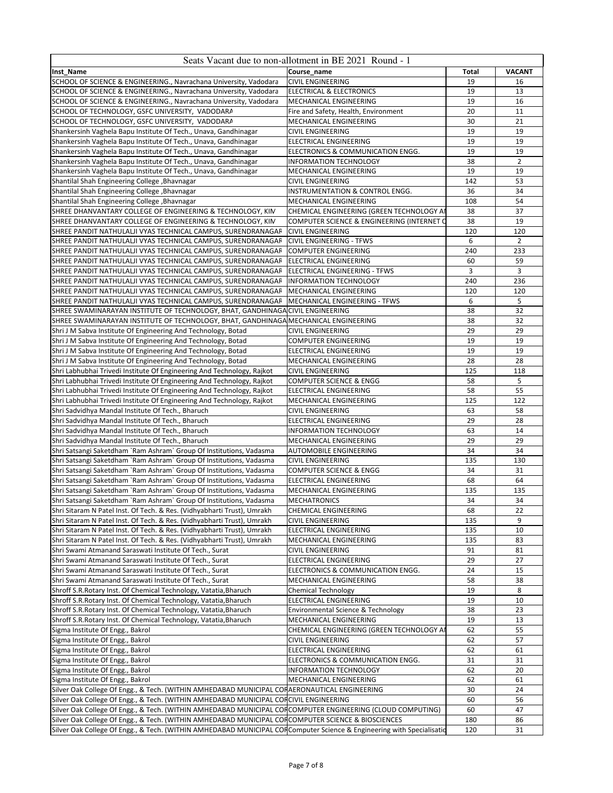| Inst_Name<br>Course_name<br><b>VACANT</b><br>Total                                                                                                                                                      |  |
|---------------------------------------------------------------------------------------------------------------------------------------------------------------------------------------------------------|--|
| SCHOOL OF SCIENCE & ENGINEERING., Navrachana University, Vadodara<br><b>CIVIL ENGINEERING</b><br>19<br>16                                                                                               |  |
| 19<br>13<br>SCHOOL OF SCIENCE & ENGINEERING., Navrachana University, Vadodara<br>ELECTRICAL & ELECTRONICS                                                                                               |  |
| 19<br>16<br>SCHOOL OF SCIENCE & ENGINEERING., Navrachana University, Vadodara<br>MECHANICAL ENGINEERING                                                                                                 |  |
| SCHOOL OF TECHNOLOGY, GSFC UNIVERSITY, VADODARA<br>Fire and Safety, Health, Environment<br>20<br>11                                                                                                     |  |
| SCHOOL OF TECHNOLOGY, GSFC UNIVERSITY, VADODARA<br>30<br>21<br>MECHANICAL ENGINEERING                                                                                                                   |  |
| 19<br>19<br>Shankersinh Vaghela Bapu Institute Of Tech., Unava, Gandhinagar<br><b>CIVIL ENGINEERING</b>                                                                                                 |  |
| Shankersinh Vaghela Bapu Institute Of Tech., Unava, Gandhinagar<br>19<br>19<br>ELECTRICAL ENGINEERING                                                                                                   |  |
| 19<br>19<br>Shankersinh Vaghela Bapu Institute Of Tech., Unava, Gandhinagar<br>ELECTRONICS & COMMUNICATION ENGG.                                                                                        |  |
| $\overline{2}$<br>38<br>Shankersinh Vaghela Bapu Institute Of Tech., Unava, Gandhinagar<br><b>INFORMATION TECHNOLOGY</b>                                                                                |  |
| Shankersinh Vaghela Bapu Institute Of Tech., Unava, Gandhinagar<br>19<br>19<br>MECHANICAL ENGINEERING                                                                                                   |  |
| Shantilal Shah Engineering College, Bhavnagar<br><b>CIVIL ENGINEERING</b><br>142<br>53<br>34<br>36<br>Shantilal Shah Engineering College, Bhavnagar<br>INSTRUMENTATION & CONTROL ENGG.                  |  |
| Shantilal Shah Engineering College, Bhavnagar<br>MECHANICAL ENGINEERING<br>108<br>54                                                                                                                    |  |
| SHREE DHANVANTARY COLLEGE OF ENGINEERING & TECHNOLOGY, KIM<br>37<br>CHEMICAL ENGINEERING (GREEN TECHNOLOGY AI<br>38                                                                                     |  |
| 38<br>19<br>SHREE DHANVANTARY COLLEGE OF ENGINEERING & TECHNOLOGY, KIM<br>COMPUTER SCIENCE & ENGINEERING (INTERNET C                                                                                    |  |
| SHREE PANDIT NATHULALJI VYAS TECHNICAL CAMPUS, SURENDRANAGAR<br>120<br>120<br><b>CIVIL ENGINEERING</b>                                                                                                  |  |
| 6<br>$\overline{2}$<br>SHREE PANDIT NATHULALJI VYAS TECHNICAL CAMPUS, SURENDRANAGAR<br><b>CIVIL ENGINEERING - TFWS</b>                                                                                  |  |
| SHREE PANDIT NATHULALJI VYAS TECHNICAL CAMPUS, SURENDRANAGAR<br>240<br>233<br><b>COMPUTER ENGINEERING</b>                                                                                               |  |
| SHREE PANDIT NATHULALJI VYAS TECHNICAL CAMPUS, SURENDRANAGAR<br>60<br>59<br><b>ELECTRICAL ENGINEERING</b>                                                                                               |  |
| 3<br>3<br>SHREE PANDIT NATHULALJI VYAS TECHNICAL CAMPUS, SURENDRANAGAR<br>ELECTRICAL ENGINEERING - TFWS                                                                                                 |  |
| SHREE PANDIT NATHULALJI VYAS TECHNICAL CAMPUS, SURENDRANAGAR<br>240<br>236<br><b>INFORMATION TECHNOLOGY</b>                                                                                             |  |
| SHREE PANDIT NATHULALJI VYAS TECHNICAL CAMPUS, SURENDRANAGAR<br>MECHANICAL ENGINEERING<br>120<br>120                                                                                                    |  |
| 5<br>6<br>SHREE PANDIT NATHULALJI VYAS TECHNICAL CAMPUS, SURENDRANAGAR<br>MECHANICAL ENGINEERING - TFWS                                                                                                 |  |
| 32<br>SHREE SWAMINARAYAN INSTITUTE OF TECHNOLOGY, BHAT, GANDHINAGA<br><b>NCIVIL ENGINEERING</b><br>38                                                                                                   |  |
| SHREE SWAMINARAYAN INSTITUTE OF TECHNOLOGY, BHAT, GANDHINAGA MECHANICAL ENGINEERING<br>38<br>32                                                                                                         |  |
| 29<br>29<br>Shri J M Sabva Institute Of Engineering And Technology, Botad<br><b>CIVIL ENGINEERING</b>                                                                                                   |  |
| 19<br>Shri J M Sabva Institute Of Engineering And Technology, Botad<br>19<br><b>COMPUTER ENGINEERING</b>                                                                                                |  |
| Shri J M Sabva Institute Of Engineering And Technology, Botad<br>19<br>19<br>ELECTRICAL ENGINEERING                                                                                                     |  |
| 28<br>28<br>Shri J M Sabva Institute Of Engineering And Technology, Botad<br>MECHANICAL ENGINEERING                                                                                                     |  |
| Shri Labhubhai Trivedi Institute Of Engineering And Technology, Rajkot<br><b>CIVIL ENGINEERING</b><br>125<br>118                                                                                        |  |
| Shri Labhubhai Trivedi Institute Of Engineering And Technology, Rajkot<br>5<br><b>COMPUTER SCIENCE &amp; ENGG</b><br>58                                                                                 |  |
| 58<br>55<br>Shri Labhubhai Trivedi Institute Of Engineering And Technology, Rajkot<br>ELECTRICAL ENGINEERING                                                                                            |  |
| Shri Labhubhai Trivedi Institute Of Engineering And Technology, Rajkot<br>125<br>122<br>MECHANICAL ENGINEERING                                                                                          |  |
| 58<br>Shri Sadvidhya Mandal Institute Of Tech., Bharuch<br><b>CIVIL ENGINEERING</b><br>63                                                                                                               |  |
| 29<br>28<br>Shri Sadvidhya Mandal Institute Of Tech., Bharuch<br>ELECTRICAL ENGINEERING<br><b>INFORMATION TECHNOLOGY</b><br>14                                                                          |  |
| Shri Sadvidhya Mandal Institute Of Tech., Bharuch<br>63<br>Shri Sadvidhya Mandal Institute Of Tech., Bharuch<br>MECHANICAL ENGINEERING<br>29<br>29                                                      |  |
| 34<br>34<br>Shri Satsangi Saketdham `Ram Ashram` Group Of Institutions, Vadasma<br>AUTOMOBILE ENGINEERING                                                                                               |  |
| Shri Satsangi Saketdham `Ram Ashram` Group Of Institutions, Vadasma<br>135<br>130<br><b>CIVIL ENGINEERING</b>                                                                                           |  |
| Shri Satsangi Saketdham `Ram Ashram` Group Of Institutions, Vadasma<br><b>COMPUTER SCIENCE &amp; ENGG</b><br>34<br>31                                                                                   |  |
| 64<br>Shri Satsangi Saketdham `Ram Ashram` Group Of Institutions, Vadasma<br>68<br>ELECTRICAL ENGINEERING                                                                                               |  |
| Shri Satsangi Saketdham `Ram Ashram` Group Of Institutions, Vadasma<br>MECHANICAL ENGINEERING<br>135<br>135                                                                                             |  |
| Shri Satsangi Saketdham `Ram Ashram` Group Of Institutions, Vadasma<br><b>MECHATRONICS</b><br>34<br>34                                                                                                  |  |
| Shri Sitaram N Patel Inst. Of Tech. & Res. (Vidhyabharti Trust), Umrakh<br><b>CHEMICAL ENGINEERING</b><br>68<br>22                                                                                      |  |
| Shri Sitaram N Patel Inst. Of Tech. & Res. (Vidhyabharti Trust), Umrakh<br>9<br><b>CIVIL ENGINEERING</b><br>135                                                                                         |  |
| Shri Sitaram N Patel Inst. Of Tech. & Res. (Vidhyabharti Trust), Umrakh<br>ELECTRICAL ENGINEERING<br>135<br>10                                                                                          |  |
| Shri Sitaram N Patel Inst. Of Tech. & Res. (Vidhyabharti Trust), Umrakh<br>MECHANICAL ENGINEERING<br>135<br>83                                                                                          |  |
| Shri Swami Atmanand Saraswati Institute Of Tech., Surat<br>91<br>81<br><b>CIVIL ENGINEERING</b>                                                                                                         |  |
| Shri Swami Atmanand Saraswati Institute Of Tech., Surat<br><b>ELECTRICAL ENGINEERING</b><br>29<br>27                                                                                                    |  |
| 24<br>Shri Swami Atmanand Saraswati Institute Of Tech., Surat<br>ELECTRONICS & COMMUNICATION ENGG.<br>15                                                                                                |  |
| Shri Swami Atmanand Saraswati Institute Of Tech., Surat<br>MECHANICAL ENGINEERING<br>58<br>38                                                                                                           |  |
| Shroff S.R. Rotary Inst. Of Chemical Technology, Vatatia, Bharuch<br>19<br><b>Chemical Technology</b><br>8                                                                                              |  |
| 19<br>Shroff S.R. Rotary Inst. Of Chemical Technology, Vatatia, Bharuch<br><b>ELECTRICAL ENGINEERING</b><br>10                                                                                          |  |
| Shroff S.R.Rotary Inst. Of Chemical Technology, Vatatia, Bharuch<br>Environmental Science & Technology<br>38<br>23                                                                                      |  |
| 19<br>Shroff S.R. Rotary Inst. Of Chemical Technology, Vatatia, Bharuch<br><b>MECHANICAL ENGINEERING</b><br>13                                                                                          |  |
| 62<br>55<br>Sigma Institute Of Engg., Bakrol<br>CHEMICAL ENGINEERING (GREEN TECHNOLOGY AI                                                                                                               |  |
| Sigma Institute Of Engg., Bakrol<br><b>CIVIL ENGINEERING</b><br>62<br>57                                                                                                                                |  |
| Sigma Institute Of Engg., Bakrol<br>ELECTRICAL ENGINEERING<br>62<br>61                                                                                                                                  |  |
| Sigma Institute Of Engg., Bakrol<br>31<br>31<br>ELECTRONICS & COMMUNICATION ENGG.                                                                                                                       |  |
| Sigma Institute Of Engg., Bakrol<br>62<br>20<br>INFORMATION TECHNOLOGY                                                                                                                                  |  |
| Sigma Institute Of Engg., Bakrol<br>MECHANICAL ENGINEERING<br>62<br>61<br>24                                                                                                                            |  |
| Silver Oak College Of Engg., & Tech. (WITHIN AMHEDABAD MUNICIPAL COFAERONAUTICAL ENGINEERING<br>30<br>Silver Oak College Of Engg., & Tech. (WITHIN AMHEDABAD MUNICIPAL CORCIVIL ENGINEERING<br>60<br>56 |  |
| Silver Oak College Of Engg., & Tech. (WITHIN AMHEDABAD MUNICIPAL CORCOMPUTER ENGINEERING (CLOUD COMPUTING)<br>60<br>47                                                                                  |  |
| Silver Oak College Of Engg., & Tech. (WITHIN AMHEDABAD MUNICIPAL CORCOMPUTER SCIENCE & BIOSCIENCES<br>86<br>180                                                                                         |  |
| Silver Oak College Of Engg., & Tech. (WITHIN AMHEDABAD MUNICIPAL CORComputer Science & Engineering with Specialisatic<br>120<br>31                                                                      |  |